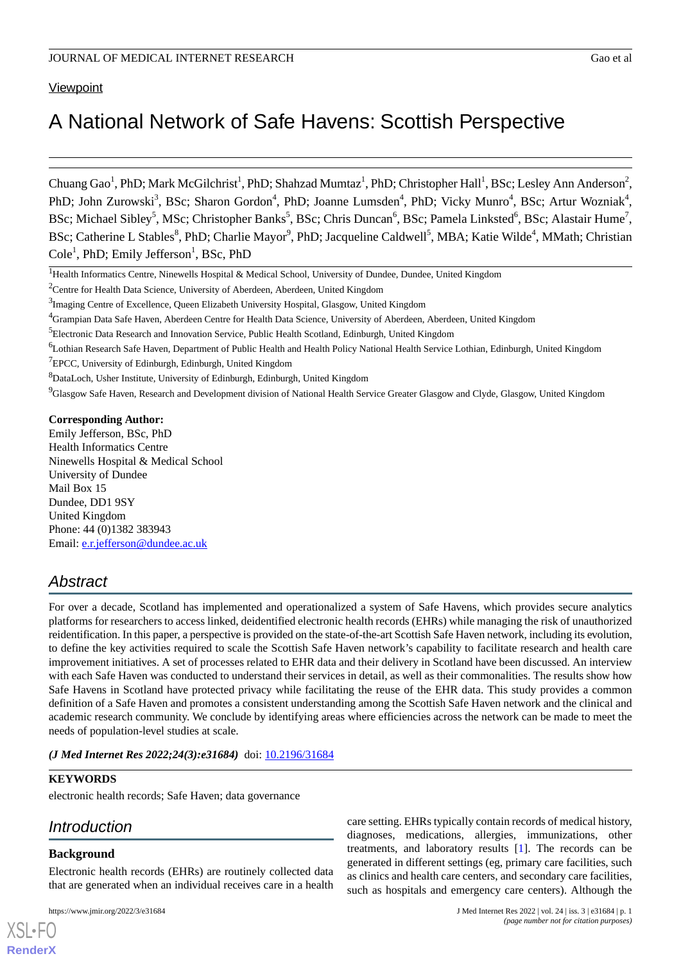# **Viewpoint**

# A National Network of Safe Havens: Scottish Perspective

Chuang Gao<sup>1</sup>, PhD; Mark McGilchrist<sup>1</sup>, PhD; Shahzad Mumtaz<sup>1</sup>, PhD; Christopher Hall<sup>1</sup>, BSc; Lesley Ann Anderson<sup>2</sup>, PhD; John Zurowski<sup>3</sup>, BSc; Sharon Gordon<sup>4</sup>, PhD; Joanne Lumsden<sup>4</sup>, PhD; Vicky Munro<sup>4</sup>, BSc; Artur Wozniak<sup>4</sup>, BSc; Michael Sibley<sup>5</sup>, MSc; Christopher Banks<sup>5</sup>, BSc; Chris Duncan<sup>6</sup>, BSc; Pamela Linksted<sup>6</sup>, BSc; Alastair Hume<sup>7</sup>, BSc; Catherine L Stables<sup>8</sup>, PhD; Charlie Mayor<sup>9</sup>, PhD; Jacqueline Caldwell<sup>5</sup>, MBA; Katie Wilde<sup>4</sup>, MMath; Christian Cole<sup>1</sup>, PhD; Emily Jefferson<sup>1</sup>, BSc, PhD

<sup>4</sup>Grampian Data Safe Haven, Aberdeen Centre for Health Data Science, University of Aberdeen, Aberdeen, United Kingdom

<sup>6</sup>Lothian Research Safe Haven, Department of Public Health and Health Policy National Health Service Lothian, Edinburgh, United Kingdom

<sup>7</sup>EPCC, University of Edinburgh, Edinburgh, United Kingdom

<sup>8</sup>DataLoch, Usher Institute, University of Edinburgh, Edinburgh, United Kingdom

<sup>9</sup>Glasgow Safe Haven, Research and Development division of National Health Service Greater Glasgow and Clyde, Glasgow, United Kingdom

# **Corresponding Author:**

Emily Jefferson, BSc, PhD Health Informatics Centre Ninewells Hospital & Medical School University of Dundee Mail Box 15 Dundee, DD1 9SY United Kingdom Phone: 44 (0)1382 383943 Email: [e.r.jefferson@dundee.ac.uk](mailto:e.r.jefferson@dundee.ac.uk)

# *Abstract*

For over a decade, Scotland has implemented and operationalized a system of Safe Havens, which provides secure analytics platforms for researchers to access linked, deidentified electronic health records (EHRs) while managing the risk of unauthorized reidentification. In this paper, a perspective is provided on the state-of-the-art Scottish Safe Haven network, including its evolution, to define the key activities required to scale the Scottish Safe Haven network's capability to facilitate research and health care improvement initiatives. A set of processes related to EHR data and their delivery in Scotland have been discussed. An interview with each Safe Haven was conducted to understand their services in detail, as well as their commonalities. The results show how Safe Havens in Scotland have protected privacy while facilitating the reuse of the EHR data. This study provides a common definition of a Safe Haven and promotes a consistent understanding among the Scottish Safe Haven network and the clinical and academic research community. We conclude by identifying areas where efficiencies across the network can be made to meet the needs of population-level studies at scale.

(*J Med Internet Res 2022;24(3):e31684*) doi: [10.2196/31684](http://dx.doi.org/10.2196/31684)

#### **KEYWORDS**

electronic health records; Safe Haven; data governance

# *Introduction*

#### **Background**

[XSL](http://www.w3.org/Style/XSL)•FO **[RenderX](http://www.renderx.com/)**

Electronic health records (EHRs) are routinely collected data that are generated when an individual receives care in a health

care setting. EHRs typically contain records of medical history, diagnoses, medications, allergies, immunizations, other treatments, and laboratory results [\[1](#page-12-0)]. The records can be generated in different settings (eg, primary care facilities, such as clinics and health care centers, and secondary care facilities, such as hospitals and emergency care centers). Although the

<sup>&</sup>lt;sup>1</sup>Health Informatics Centre, Ninewells Hospital & Medical School, University of Dundee, Dundee, United Kingdom

<sup>&</sup>lt;sup>2</sup>Centre for Health Data Science, University of Aberdeen, Aberdeen, United Kingdom

<sup>&</sup>lt;sup>3</sup>Imaging Centre of Excellence, Queen Elizabeth University Hospital, Glasgow, United Kingdom

<sup>5</sup>Electronic Data Research and Innovation Service, Public Health Scotland, Edinburgh, United Kingdom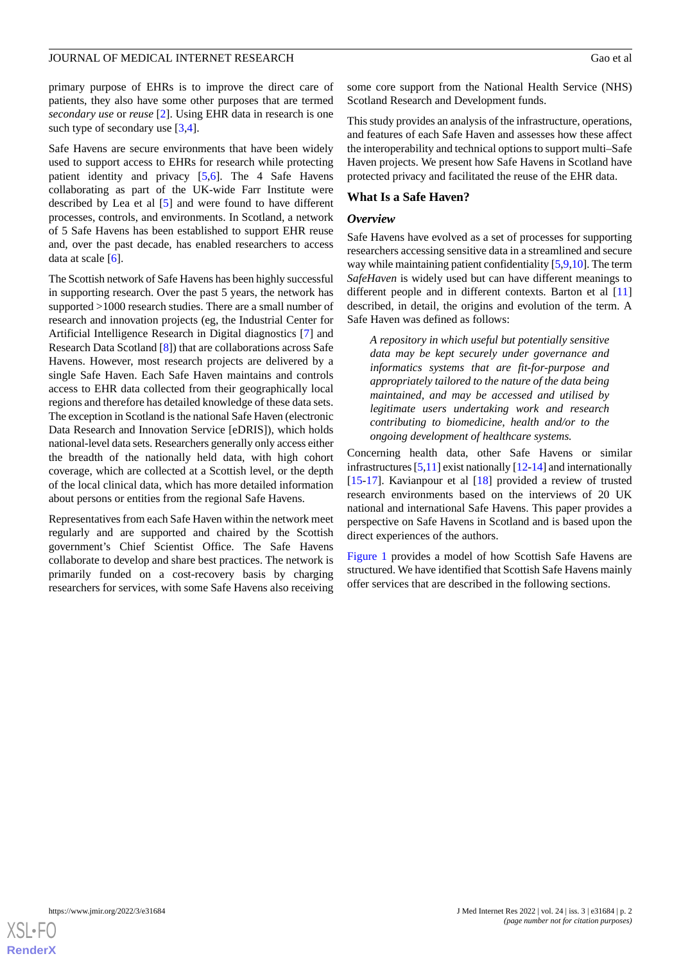primary purpose of EHRs is to improve the direct care of patients, they also have some other purposes that are termed *secondary use* or *reuse* [\[2](#page-12-1)]. Using EHR data in research is one such type of secondary use [\[3](#page-12-2),[4\]](#page-12-3).

Safe Havens are secure environments that have been widely used to support access to EHRs for research while protecting patient identity and privacy [\[5](#page-12-4),[6\]](#page-12-5). The 4 Safe Havens collaborating as part of the UK-wide Farr Institute were described by Lea et al [[5\]](#page-12-4) and were found to have different processes, controls, and environments. In Scotland, a network of 5 Safe Havens has been established to support EHR reuse and, over the past decade, has enabled researchers to access data at scale  $[6]$  $[6]$ .

The Scottish network of Safe Havens has been highly successful in supporting research. Over the past 5 years, the network has supported >1000 research studies. There are a small number of research and innovation projects (eg, the Industrial Center for Artificial Intelligence Research in Digital diagnostics [[7\]](#page-12-6) and Research Data Scotland [[8\]](#page-12-7)) that are collaborations across Safe Havens. However, most research projects are delivered by a single Safe Haven. Each Safe Haven maintains and controls access to EHR data collected from their geographically local regions and therefore has detailed knowledge of these data sets. The exception in Scotland is the national Safe Haven (electronic Data Research and Innovation Service [eDRIS]), which holds national-level data sets. Researchers generally only access either the breadth of the nationally held data, with high cohort coverage, which are collected at a Scottish level, or the depth of the local clinical data, which has more detailed information about persons or entities from the regional Safe Havens.

Representatives from each Safe Haven within the network meet regularly and are supported and chaired by the Scottish government's Chief Scientist Office. The Safe Havens collaborate to develop and share best practices. The network is primarily funded on a cost-recovery basis by charging researchers for services, with some Safe Havens also receiving

some core support from the National Health Service (NHS) Scotland Research and Development funds.

This study provides an analysis of the infrastructure, operations, and features of each Safe Haven and assesses how these affect the interoperability and technical options to support multi–Safe Haven projects. We present how Safe Havens in Scotland have protected privacy and facilitated the reuse of the EHR data.

# **What Is a Safe Haven?**

# *Overview*

Safe Havens have evolved as a set of processes for supporting researchers accessing sensitive data in a streamlined and secure way while maintaining patient confidentiality [\[5](#page-12-4),[9,](#page-12-8)[10\]](#page-12-9). The term *SafeHaven* is widely used but can have different meanings to different people and in different contexts. Barton et al [\[11](#page-12-10)] described, in detail, the origins and evolution of the term. A Safe Haven was defined as follows:

*A repository in which useful but potentially sensitive data may be kept securely under governance and informatics systems that are fit-for-purpose and appropriately tailored to the nature of the data being maintained, and may be accessed and utilised by legitimate users undertaking work and research contributing to biomedicine, health and/or to the ongoing development of healthcare systems.*

Concerning health data, other Safe Havens or similar infrastructures [\[5](#page-12-4)[,11](#page-12-10)] exist nationally [[12-](#page-12-11)[14\]](#page-12-12) and internationally [[15](#page-12-13)[-17](#page-12-14)]. Kavianpour et al [\[18](#page-12-15)] provided a review of trusted research environments based on the interviews of 20 UK national and international Safe Havens. This paper provides a perspective on Safe Havens in Scotland and is based upon the direct experiences of the authors.

[Figure 1](#page-2-0) provides a model of how Scottish Safe Havens are structured. We have identified that Scottish Safe Havens mainly offer services that are described in the following sections.

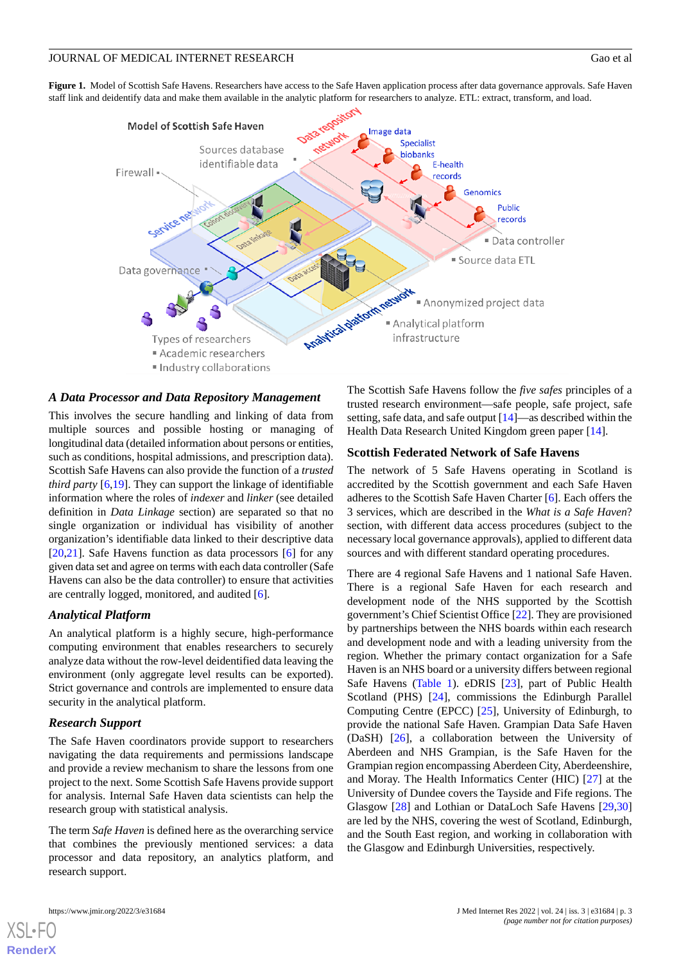#### JOURNAL OF MEDICAL INTERNET RESEARCH Gao et al

<span id="page-2-0"></span>**Figure 1.** Model of Scottish Safe Havens. Researchers have access to the Safe Haven application process after data governance approvals. Safe Haven staff link and deidentify data and make them available in the analytic platform for researchers to analyze. ETL: extract, transform, and load.



# *A Data Processor and Data Repository Management*

This involves the secure handling and linking of data from multiple sources and possible hosting or managing of longitudinal data (detailed information about persons or entities, such as conditions, hospital admissions, and prescription data). Scottish Safe Havens can also provide the function of a *trusted third party* [\[6](#page-12-5),[19\]](#page-12-16). They can support the linkage of identifiable information where the roles of *indexer* and *linker* (see detailed definition in *Data Linkage* section) are separated so that no single organization or individual has visibility of another organization's identifiable data linked to their descriptive data [[20](#page-12-17)[,21](#page-12-18)]. Safe Havens function as data processors [\[6](#page-12-5)] for any given data set and agree on terms with each data controller (Safe Havens can also be the data controller) to ensure that activities are centrally logged, monitored, and audited [\[6](#page-12-5)].

# *Analytical Platform*

An analytical platform is a highly secure, high-performance computing environment that enables researchers to securely analyze data without the row-level deidentified data leaving the environment (only aggregate level results can be exported). Strict governance and controls are implemented to ensure data security in the analytical platform.

# *Research Support*

The Safe Haven coordinators provide support to researchers navigating the data requirements and permissions landscape and provide a review mechanism to share the lessons from one project to the next. Some Scottish Safe Havens provide support for analysis. Internal Safe Haven data scientists can help the research group with statistical analysis.

The term *Safe Haven* is defined here as the overarching service that combines the previously mentioned services: a data processor and data repository, an analytics platform, and research support.

[XSL](http://www.w3.org/Style/XSL)•FO **[RenderX](http://www.renderx.com/)**

The Scottish Safe Havens follow the *five safes* principles of a trusted research environment—safe people, safe project, safe setting, safe data, and safe output [\[14](#page-12-12)]—as described within the Health Data Research United Kingdom green paper [\[14](#page-12-12)].

#### **Scottish Federated Network of Safe Havens**

The network of 5 Safe Havens operating in Scotland is accredited by the Scottish government and each Safe Haven adheres to the Scottish Safe Haven Charter [[6\]](#page-12-5). Each offers the 3 services, which are described in the *What is a Safe Haven*? section, with different data access procedures (subject to the necessary local governance approvals), applied to different data sources and with different standard operating procedures.

There are 4 regional Safe Havens and 1 national Safe Haven. There is a regional Safe Haven for each research and development node of the NHS supported by the Scottish government's Chief Scientist Office [\[22](#page-12-19)]. They are provisioned by partnerships between the NHS boards within each research and development node and with a leading university from the region. Whether the primary contact organization for a Safe Haven is an NHS board or a university differs between regional Safe Havens ([Table 1\)](#page-3-0). eDRIS [[23\]](#page-12-20), part of Public Health Scotland (PHS) [\[24](#page-12-21)], commissions the Edinburgh Parallel Computing Centre (EPCC) [[25\]](#page-12-22), University of Edinburgh, to provide the national Safe Haven. Grampian Data Safe Haven (DaSH) [[26\]](#page-12-23), a collaboration between the University of Aberdeen and NHS Grampian, is the Safe Haven for the Grampian region encompassing Aberdeen City, Aberdeenshire, and Moray. The Health Informatics Center (HIC) [\[27](#page-12-24)] at the University of Dundee covers the Tayside and Fife regions. The Glasgow [[28\]](#page-12-25) and Lothian or DataLoch Safe Havens [[29](#page-12-26)[,30](#page-13-0)] are led by the NHS, covering the west of Scotland, Edinburgh, and the South East region, and working in collaboration with the Glasgow and Edinburgh Universities, respectively.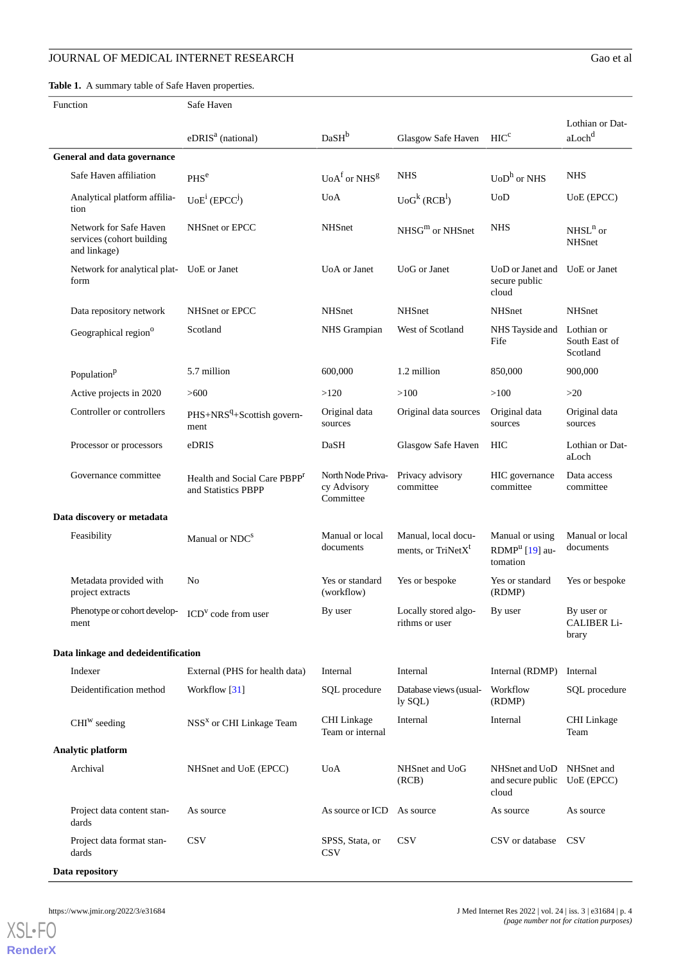# JOURNAL OF MEDICAL INTERNET RESEARCH Gao et al

<span id="page-3-0"></span>**Table 1.** A summary table of Safe Haven properties.

| Function                   |                                                                                 | Safe Haven                                                      |                                               |                                                       |                                                           |                                           |
|----------------------------|---------------------------------------------------------------------------------|-----------------------------------------------------------------|-----------------------------------------------|-------------------------------------------------------|-----------------------------------------------------------|-------------------------------------------|
|                            |                                                                                 | eDRIS <sup>a</sup> (national)                                   | DaSH <sup>b</sup>                             | Glasgow Safe Haven                                    | HIC <sup>c</sup>                                          | Lothian or Dat-<br>$a$ Loch $^d$          |
|                            | General and data governance                                                     |                                                                 |                                               |                                                       |                                                           |                                           |
|                            | Safe Haven affiliation                                                          | PHS <sup>e</sup>                                                | $UoAf$ or NHS <sup>g</sup>                    | <b>NHS</b>                                            | $UoDh$ or NHS                                             | <b>NHS</b>                                |
|                            | Analytical platform affilia-<br>tion                                            | $UoE^i$ (EPCC <sup>j</sup> )                                    | <b>U</b> oA                                   | UoG <sup>k</sup> (RCB <sup>1</sup> )                  | UoD                                                       | UoE (EPCC)                                |
|                            | Network for Safe Haven<br>services (cohort building<br>and linkage)             | NHSnet or EPCC                                                  | <b>NHSnet</b>                                 | $NHSGm$ or NHSnet                                     | <b>NHS</b>                                                | $NHSLn$ or<br><b>NHSnet</b>               |
|                            | Network for analytical plat- UoE or Janet<br>form                               |                                                                 | UoA or Janet                                  | UoG or Janet                                          | UoD or Janet and<br>secure public<br>cloud                | UoE or Janet                              |
|                            | Data repository network                                                         | NHSnet or EPCC                                                  | <b>NHSnet</b>                                 | <b>NHSnet</b>                                         | <b>NHSnet</b>                                             | <b>NHSnet</b>                             |
|                            | Geographical region <sup>o</sup>                                                | Scotland                                                        | NHS Grampian                                  | West of Scotland                                      | NHS Tayside and<br>Fife                                   | Lothian or<br>South East of<br>Scotland   |
|                            | Population <sup>p</sup>                                                         | 5.7 million                                                     | 600,000                                       | 1.2 million                                           | 850,000                                                   | 900,000                                   |
|                            | Active projects in 2020                                                         | >600                                                            | >120                                          | >100                                                  | >100                                                      | >20                                       |
|                            | Controller or controllers                                                       | PHS+NRS <sup>q</sup> +Scottish govern-<br>ment                  | Original data<br>sources                      | Original data sources                                 | Original data<br>sources                                  | Original data<br>sources                  |
|                            | Processor or processors                                                         | eDRIS                                                           | DaSH                                          | Glasgow Safe Haven                                    | HIC                                                       | Lothian or Dat-<br>aLoch                  |
|                            | Governance committee                                                            | Health and Social Care PBPP <sup>r</sup><br>and Statistics PBPP | North Node Priva-<br>cy Advisory<br>Committee | Privacy advisory<br>committee                         | HIC governance<br>committee                               | Data access<br>committee                  |
| Data discovery or metadata |                                                                                 |                                                                 |                                               |                                                       |                                                           |                                           |
|                            | Feasibility                                                                     | Manual or NDC <sup>S</sup>                                      | Manual or local<br>documents                  | Manual, local docu-<br>ments, or TriNetX <sup>t</sup> | Manual or using<br>RDMP <sup>u</sup> [19] au-<br>tomation | Manual or local<br>documents              |
|                            | Metadata provided with<br>project extracts                                      | No                                                              | Yes or standard<br>(workflow)                 | Yes or bespoke                                        | Yes or standard<br>(RDMP)                                 | Yes or bespoke                            |
|                            | Phenotype or cohort develop- $\mathbf{ICD}^{\mathbf{V}}$ code from user<br>ment |                                                                 | By user                                       | Locally stored algo-<br>rithms or user                | By user                                                   | By user or<br><b>CALIBER Li-</b><br>brary |
|                            | Data linkage and dedeidentification                                             |                                                                 |                                               |                                                       |                                                           |                                           |
|                            | Indexer                                                                         | External (PHS for health data)                                  | Internal                                      | Internal                                              | Internal (RDMP)                                           | Internal                                  |
|                            | Deidentification method                                                         | Workflow [31]                                                   | SQL procedure                                 | Database views (usual-<br>ly SQL)                     | Workflow<br>(RDMP)                                        | SQL procedure                             |
|                            | $CHIW$ seeding                                                                  | NSS <sup>x</sup> or CHI Linkage Team                            | CHI Linkage<br>Team or internal               | Internal                                              | Internal                                                  | CHI Linkage<br>Team                       |
| Analytic platform          |                                                                                 |                                                                 |                                               |                                                       |                                                           |                                           |
|                            | Archival                                                                        | NHSnet and UoE (EPCC)                                           | <b>U</b> oA                                   | NHSnet and UoG<br>(RCB)                               | NHSnet and UoD<br>and secure public UoE (EPCC)<br>cloud   | NHSnet and                                |
|                            | Project data content stan-<br>dards                                             | As source                                                       | As source or ICD                              | As source                                             | As source                                                 | As source                                 |
|                            | Project data format stan-<br>dards                                              | <b>CSV</b>                                                      | SPSS, Stata, or<br><b>CSV</b>                 | <b>CSV</b>                                            | CSV or database                                           | <b>CSV</b>                                |
|                            | Data repository                                                                 |                                                                 |                                               |                                                       |                                                           |                                           |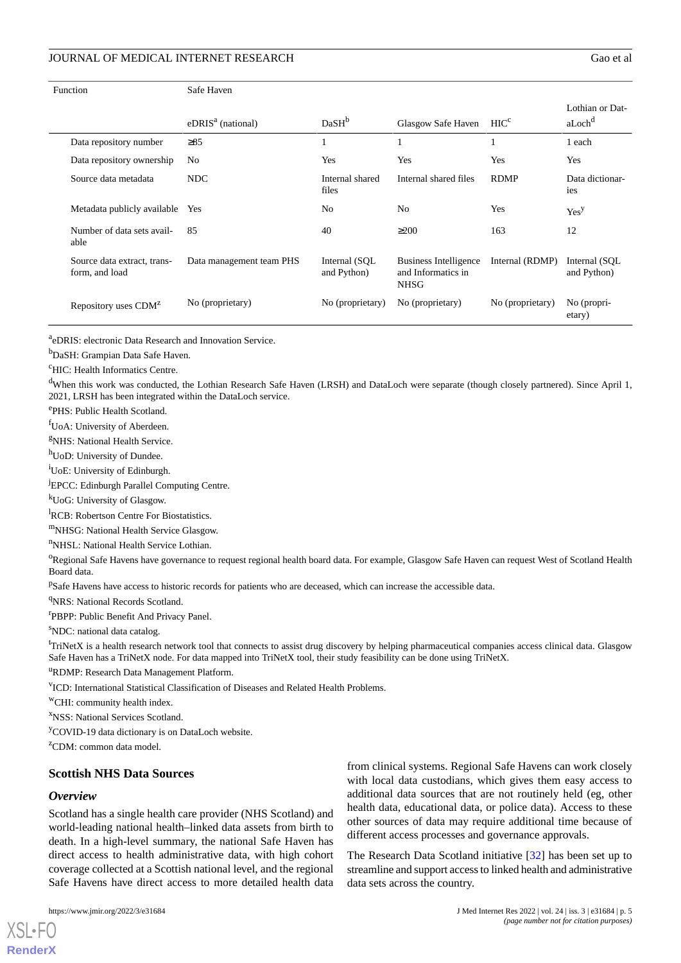| Function                                      | Safe Haven               |                               |                                                                   |                  |                                       |
|-----------------------------------------------|--------------------------|-------------------------------|-------------------------------------------------------------------|------------------|---------------------------------------|
|                                               | $eDRISa$ (national)      | DaSH <sup>b</sup>             | Glasgow Safe Haven                                                | HIC <sup>c</sup> | Lothian or Dat-<br>aLoch <sup>d</sup> |
| Data repository number                        | $\geq 85$                |                               |                                                                   |                  | 1 each                                |
| Data repository ownership                     | N <sub>0</sub>           | Yes                           | Yes                                                               | Yes              | Yes                                   |
| Source data metadata                          | <b>NDC</b>               | Internal shared<br>files      | Internal shared files                                             | <b>RDMP</b>      | Data dictionar-<br>ies                |
| Metadata publicly available                   | Yes                      | N <sub>0</sub>                | N <sub>0</sub>                                                    | Yes              | Yes <sup>y</sup>                      |
| Number of data sets avail-<br>able            | 85                       | 40                            | $\geq$ 200                                                        | 163              | 12                                    |
| Source data extract, trans-<br>form, and load | Data management team PHS | Internal (SQL)<br>and Python) | <b>Business Intelligence</b><br>and Informatics in<br><b>NHSG</b> | Internal (RDMP)  | Internal (SQL)<br>and Python)         |
| Repository uses CDM <sup>z</sup>              | No (proprietary)         | No (proprietary)              | No (proprietary)                                                  | No (proprietary) | No (propri-<br>etary)                 |

<sup>a</sup>eDRIS: electronic Data Research and Innovation Service.

<sup>b</sup>DaSH: Grampian Data Safe Haven.

<sup>c</sup>HIC: Health Informatics Centre.

<sup>d</sup>When this work was conducted, the Lothian Research Safe Haven (LRSH) and DataLoch were separate (though closely partnered). Since April 1, 2021, LRSH has been integrated within the DataLoch service.

e PHS: Public Health Scotland.

fUoA: University of Aberdeen.

<sup>g</sup>NHS: National Health Service.

hUoD: University of Dundee.

<sup>i</sup>UoE: University of Edinburgh.

<sup>j</sup>EPCC: Edinburgh Parallel Computing Centre.

<sup>k</sup>UoG: University of Glasgow.

<sup>1</sup>RCB: Robertson Centre For Biostatistics.

<sup>m</sup>NHSG: National Health Service Glasgow.

<sup>n</sup>NHSL: National Health Service Lothian.

<sup>o</sup>Regional Safe Havens have governance to request regional health board data. For example, Glasgow Safe Haven can request West of Scotland Health Board data.

<sup>p</sup>Safe Havens have access to historic records for patients who are deceased, which can increase the accessible data.

<sup>q</sup>NRS: National Records Scotland.

<sup>r</sup>PBPP: Public Benefit And Privacy Panel.

<sup>s</sup>NDC: national data catalog.

 ${}^{t}$ TriNetX is a health research network tool that connects to assist drug discovery by helping pharmaceutical companies access clinical data. Glasgow Safe Haven has a TriNetX node. For data mapped into TriNetX tool, their study feasibility can be done using TriNetX.

<sup>u</sup>RDMP: Research Data Management Platform.

v ICD: International Statistical Classification of Diseases and Related Health Problems.

<sup>w</sup>CHI: community health index.

<sup>x</sup>NSS: National Services Scotland.

<sup>y</sup>COVID-19 data dictionary is on DataLoch website.

 $ZCDM$ : common data model.

# **Scottish NHS Data Sources**

#### *Overview*

[XSL](http://www.w3.org/Style/XSL)•FO **[RenderX](http://www.renderx.com/)**

Scotland has a single health care provider (NHS Scotland) and world-leading national health–linked data assets from birth to death. In a high-level summary, the national Safe Haven has direct access to health administrative data, with high cohort coverage collected at a Scottish national level, and the regional Safe Havens have direct access to more detailed health data

from clinical systems. Regional Safe Havens can work closely with local data custodians, which gives them easy access to additional data sources that are not routinely held (eg, other health data, educational data, or police data). Access to these other sources of data may require additional time because of different access processes and governance approvals.

The Research Data Scotland initiative [\[32](#page-13-2)] has been set up to streamline and support access to linked health and administrative data sets across the country.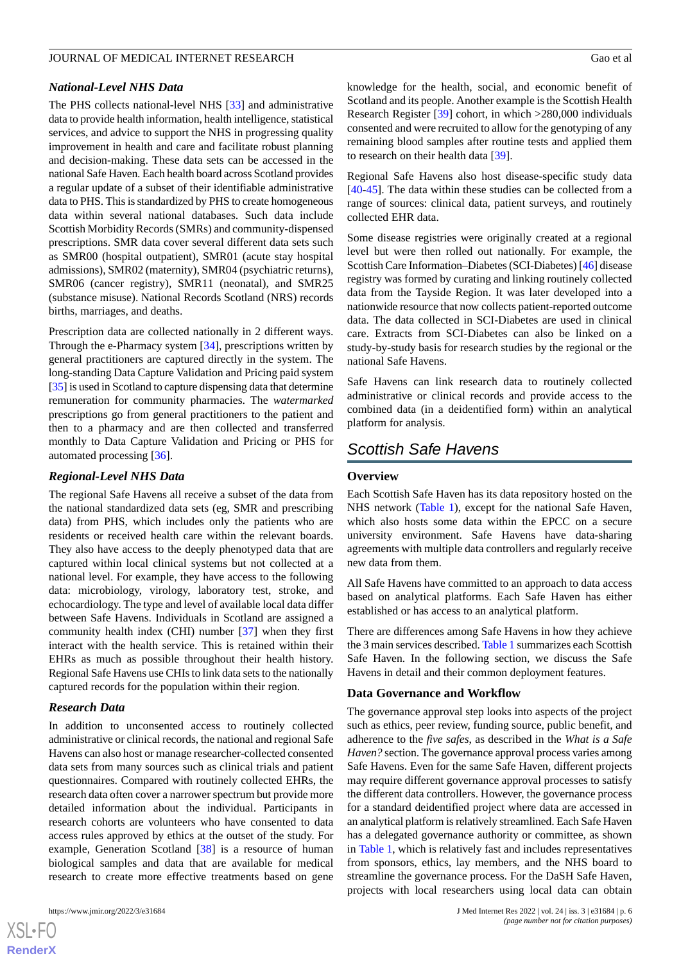# *National-Level NHS Data*

The PHS collects national-level NHS [[33\]](#page-13-3) and administrative data to provide health information, health intelligence, statistical services, and advice to support the NHS in progressing quality improvement in health and care and facilitate robust planning and decision-making. These data sets can be accessed in the national Safe Haven. Each health board across Scotland provides a regular update of a subset of their identifiable administrative data to PHS. This is standardized by PHS to create homogeneous data within several national databases. Such data include Scottish Morbidity Records (SMRs) and community-dispensed prescriptions. SMR data cover several different data sets such as SMR00 (hospital outpatient), SMR01 (acute stay hospital admissions), SMR02 (maternity), SMR04 (psychiatric returns), SMR06 (cancer registry), SMR11 (neonatal), and SMR25 (substance misuse). National Records Scotland (NRS) records births, marriages, and deaths.

Prescription data are collected nationally in 2 different ways. Through the e-Pharmacy system [\[34](#page-13-4)], prescriptions written by general practitioners are captured directly in the system. The long-standing Data Capture Validation and Pricing paid system [[35\]](#page-13-5) is used in Scotland to capture dispensing data that determine remuneration for community pharmacies. The *watermarked* prescriptions go from general practitioners to the patient and then to a pharmacy and are then collected and transferred monthly to Data Capture Validation and Pricing or PHS for automated processing [\[36](#page-13-6)].

#### *Regional-Level NHS Data*

The regional Safe Havens all receive a subset of the data from the national standardized data sets (eg, SMR and prescribing data) from PHS, which includes only the patients who are residents or received health care within the relevant boards. They also have access to the deeply phenotyped data that are captured within local clinical systems but not collected at a national level. For example, they have access to the following data: microbiology, virology, laboratory test, stroke, and echocardiology. The type and level of available local data differ between Safe Havens. Individuals in Scotland are assigned a community health index (CHI) number [[37\]](#page-13-7) when they first interact with the health service. This is retained within their EHRs as much as possible throughout their health history. Regional Safe Havens use CHIs to link data sets to the nationally captured records for the population within their region.

#### *Research Data*

In addition to unconsented access to routinely collected administrative or clinical records, the national and regional Safe Havens can also host or manage researcher-collected consented data sets from many sources such as clinical trials and patient questionnaires. Compared with routinely collected EHRs, the research data often cover a narrower spectrum but provide more detailed information about the individual. Participants in research cohorts are volunteers who have consented to data access rules approved by ethics at the outset of the study. For example, Generation Scotland [\[38](#page-13-8)] is a resource of human biological samples and data that are available for medical research to create more effective treatments based on gene

 $XS$  $\cdot$ FC **[RenderX](http://www.renderx.com/)** knowledge for the health, social, and economic benefit of Scotland and its people. Another example is the Scottish Health Research Register [\[39](#page-13-9)] cohort, in which >280,000 individuals consented and were recruited to allow for the genotyping of any remaining blood samples after routine tests and applied them to research on their health data [\[39](#page-13-9)].

Regional Safe Havens also host disease-specific study data [[40](#page-13-10)[-45](#page-13-11)]. The data within these studies can be collected from a range of sources: clinical data, patient surveys, and routinely collected EHR data.

Some disease registries were originally created at a regional level but were then rolled out nationally. For example, the Scottish Care Information–Diabetes (SCI-Diabetes) [[46](#page-13-12)] disease registry was formed by curating and linking routinely collected data from the Tayside Region. It was later developed into a nationwide resource that now collects patient-reported outcome data. The data collected in SCI-Diabetes are used in clinical care. Extracts from SCI-Diabetes can also be linked on a study-by-study basis for research studies by the regional or the national Safe Havens.

Safe Havens can link research data to routinely collected administrative or clinical records and provide access to the combined data (in a deidentified form) within an analytical platform for analysis.

# *Scottish Safe Havens*

#### **Overview**

Each Scottish Safe Haven has its data repository hosted on the NHS network ([Table 1](#page-3-0)), except for the national Safe Haven, which also hosts some data within the EPCC on a secure university environment. Safe Havens have data-sharing agreements with multiple data controllers and regularly receive new data from them.

All Safe Havens have committed to an approach to data access based on analytical platforms. Each Safe Haven has either established or has access to an analytical platform.

There are differences among Safe Havens in how they achieve the 3 main services described. [Table 1](#page-3-0) summarizes each Scottish Safe Haven. In the following section, we discuss the Safe Havens in detail and their common deployment features.

# **Data Governance and Workflow**

The governance approval step looks into aspects of the project such as ethics, peer review, funding source, public benefit, and adherence to the *five safes*, as described in the *What is a Safe Haven?* section. The governance approval process varies among Safe Havens. Even for the same Safe Haven, different projects may require different governance approval processes to satisfy the different data controllers. However, the governance process for a standard deidentified project where data are accessed in an analytical platform is relatively streamlined. Each Safe Haven has a delegated governance authority or committee, as shown in [Table 1](#page-3-0), which is relatively fast and includes representatives from sponsors, ethics, lay members, and the NHS board to streamline the governance process. For the DaSH Safe Haven, projects with local researchers using local data can obtain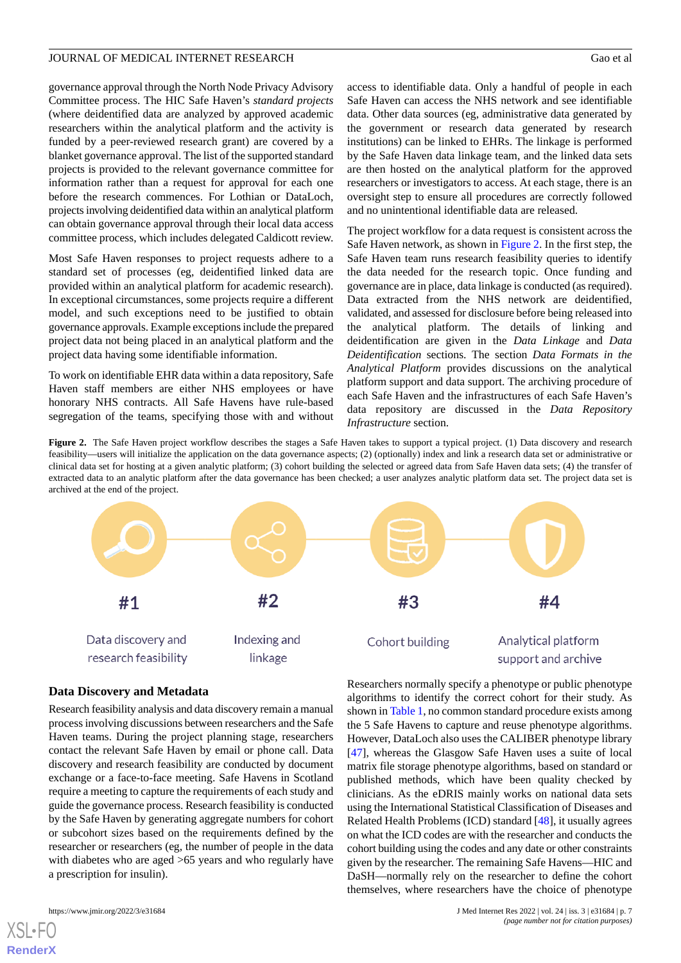governance approval through the North Node Privacy Advisory Committee process. The HIC Safe Haven's *standard projects* (where deidentified data are analyzed by approved academic researchers within the analytical platform and the activity is funded by a peer-reviewed research grant) are covered by a blanket governance approval. The list of the supported standard projects is provided to the relevant governance committee for information rather than a request for approval for each one before the research commences. For Lothian or DataLoch, projects involving deidentified data within an analytical platform can obtain governance approval through their local data access committee process, which includes delegated Caldicott review.

Most Safe Haven responses to project requests adhere to a standard set of processes (eg, deidentified linked data are provided within an analytical platform for academic research). In exceptional circumstances, some projects require a different model, and such exceptions need to be justified to obtain governance approvals. Example exceptions include the prepared project data not being placed in an analytical platform and the project data having some identifiable information.

<span id="page-6-0"></span>To work on identifiable EHR data within a data repository, Safe Haven staff members are either NHS employees or have honorary NHS contracts. All Safe Havens have rule-based segregation of the teams, specifying those with and without

access to identifiable data. Only a handful of people in each Safe Haven can access the NHS network and see identifiable data. Other data sources (eg, administrative data generated by the government or research data generated by research institutions) can be linked to EHRs. The linkage is performed by the Safe Haven data linkage team, and the linked data sets are then hosted on the analytical platform for the approved researchers or investigators to access. At each stage, there is an oversight step to ensure all procedures are correctly followed and no unintentional identifiable data are released.

The project workflow for a data request is consistent across the Safe Haven network, as shown in [Figure 2.](#page-6-0) In the first step, the Safe Haven team runs research feasibility queries to identify the data needed for the research topic. Once funding and governance are in place, data linkage is conducted (as required). Data extracted from the NHS network are deidentified, validated, and assessed for disclosure before being released into the analytical platform. The details of linking and deidentification are given in the *Data Linkage* and *Data Deidentification* sections. The section *Data Formats in the Analytical Platform* provides discussions on the analytical platform support and data support. The archiving procedure of each Safe Haven and the infrastructures of each Safe Haven's data repository are discussed in the *Data Repository Infrastructure* section.

Figure 2. The Safe Haven project workflow describes the stages a Safe Haven takes to support a typical project. (1) Data discovery and research feasibility—users will initialize the application on the data governance aspects; (2) (optionally) index and link a research data set or administrative or clinical data set for hosting at a given analytic platform; (3) cohort building the selected or agreed data from Safe Haven data sets; (4) the transfer of extracted data to an analytic platform after the data governance has been checked; a user analyzes analytic platform data set. The project data set is archived at the end of the project.



# **Data Discovery and Metadata**

Research feasibility analysis and data discovery remain a manual process involving discussions between researchers and the Safe Haven teams. During the project planning stage, researchers contact the relevant Safe Haven by email or phone call. Data discovery and research feasibility are conducted by document exchange or a face-to-face meeting. Safe Havens in Scotland require a meeting to capture the requirements of each study and guide the governance process. Research feasibility is conducted by the Safe Haven by generating aggregate numbers for cohort or subcohort sizes based on the requirements defined by the researcher or researchers (eg, the number of people in the data with diabetes who are aged  $>65$  years and who regularly have a prescription for insulin).

[XSL](http://www.w3.org/Style/XSL)•FO **[RenderX](http://www.renderx.com/)**

Researchers normally specify a phenotype or public phenotype algorithms to identify the correct cohort for their study. As shown in [Table 1](#page-3-0), no common standard procedure exists among the 5 Safe Havens to capture and reuse phenotype algorithms. However, DataLoch also uses the CALIBER phenotype library [[47\]](#page-13-13), whereas the Glasgow Safe Haven uses a suite of local matrix file storage phenotype algorithms, based on standard or published methods, which have been quality checked by clinicians. As the eDRIS mainly works on national data sets using the International Statistical Classification of Diseases and Related Health Problems (ICD) standard [\[48](#page-13-14)], it usually agrees on what the ICD codes are with the researcher and conducts the cohort building using the codes and any date or other constraints given by the researcher. The remaining Safe Havens—HIC and DaSH—normally rely on the researcher to define the cohort themselves, where researchers have the choice of phenotype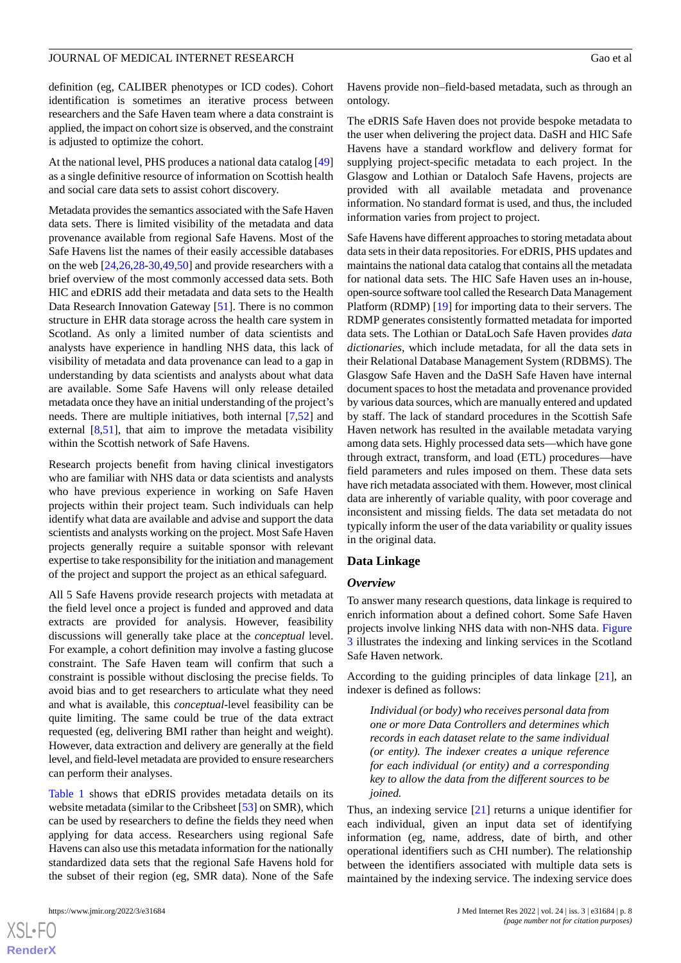definition (eg, CALIBER phenotypes or ICD codes). Cohort identification is sometimes an iterative process between researchers and the Safe Haven team where a data constraint is applied, the impact on cohort size is observed, and the constraint is adjusted to optimize the cohort.

At the national level, PHS produces a national data catalog [\[49](#page-13-15)] as a single definitive resource of information on Scottish health and social care data sets to assist cohort discovery.

Metadata provides the semantics associated with the Safe Haven data sets. There is limited visibility of the metadata and data provenance available from regional Safe Havens. Most of the Safe Havens list the names of their easily accessible databases on the web [[24,](#page-12-21)[26](#page-12-23),[28-](#page-12-25)[30](#page-13-0)[,49](#page-13-15),[50\]](#page-13-16) and provide researchers with a brief overview of the most commonly accessed data sets. Both HIC and eDRIS add their metadata and data sets to the Health Data Research Innovation Gateway [\[51](#page-13-17)]. There is no common structure in EHR data storage across the health care system in Scotland. As only a limited number of data scientists and analysts have experience in handling NHS data, this lack of visibility of metadata and data provenance can lead to a gap in understanding by data scientists and analysts about what data are available. Some Safe Havens will only release detailed metadata once they have an initial understanding of the project's needs. There are multiple initiatives, both internal [\[7](#page-12-6),[52\]](#page-13-18) and external [\[8](#page-12-7),[51\]](#page-13-17), that aim to improve the metadata visibility within the Scottish network of Safe Havens.

Research projects benefit from having clinical investigators who are familiar with NHS data or data scientists and analysts who have previous experience in working on Safe Haven projects within their project team. Such individuals can help identify what data are available and advise and support the data scientists and analysts working on the project. Most Safe Haven projects generally require a suitable sponsor with relevant expertise to take responsibility for the initiation and management of the project and support the project as an ethical safeguard.

All 5 Safe Havens provide research projects with metadata at the field level once a project is funded and approved and data extracts are provided for analysis. However, feasibility discussions will generally take place at the *conceptual* level. For example, a cohort definition may involve a fasting glucose constraint. The Safe Haven team will confirm that such a constraint is possible without disclosing the precise fields. To avoid bias and to get researchers to articulate what they need and what is available, this *conceptual*-level feasibility can be quite limiting. The same could be true of the data extract requested (eg, delivering BMI rather than height and weight). However, data extraction and delivery are generally at the field level, and field-level metadata are provided to ensure researchers can perform their analyses.

[Table 1](#page-3-0) shows that eDRIS provides metadata details on its website metadata (similar to the Cribsheet [[53\]](#page-13-19) on SMR), which can be used by researchers to define the fields they need when applying for data access. Researchers using regional Safe Havens can also use this metadata information for the nationally standardized data sets that the regional Safe Havens hold for the subset of their region (eg, SMR data). None of the Safe

Havens provide non–field-based metadata, such as through an ontology.

The eDRIS Safe Haven does not provide bespoke metadata to the user when delivering the project data. DaSH and HIC Safe Havens have a standard workflow and delivery format for supplying project-specific metadata to each project. In the Glasgow and Lothian or Dataloch Safe Havens, projects are provided with all available metadata and provenance information. No standard format is used, and thus, the included information varies from project to project.

Safe Havens have different approaches to storing metadata about data sets in their data repositories. For eDRIS, PHS updates and maintains the national data catalog that contains all the metadata for national data sets. The HIC Safe Haven uses an in-house, open-source software tool called the Research Data Management Platform (RDMP) [[19\]](#page-12-16) for importing data to their servers. The RDMP generates consistently formatted metadata for imported data sets. The Lothian or DataLoch Safe Haven provides *data dictionaries*, which include metadata, for all the data sets in their Relational Database Management System (RDBMS). The Glasgow Safe Haven and the DaSH Safe Haven have internal document spaces to host the metadata and provenance provided by various data sources, which are manually entered and updated by staff. The lack of standard procedures in the Scottish Safe Haven network has resulted in the available metadata varying among data sets. Highly processed data sets—which have gone through extract, transform, and load (ETL) procedures—have field parameters and rules imposed on them. These data sets have rich metadata associated with them. However, most clinical data are inherently of variable quality, with poor coverage and inconsistent and missing fields. The data set metadata do not typically inform the user of the data variability or quality issues in the original data.

#### **Data Linkage**

#### *Overview*

To answer many research questions, data linkage is required to enrich information about a defined cohort. Some Safe Haven projects involve linking NHS data with non-NHS data. [Figure](#page-8-0) [3](#page-8-0) illustrates the indexing and linking services in the Scotland Safe Haven network.

According to the guiding principles of data linkage  $[21]$  $[21]$ , an indexer is defined as follows:

*Individual (or body) who receives personal data from one or more Data Controllers and determines which records in each dataset relate to the same individual (or entity). The indexer creates a unique reference for each individual (or entity) and a corresponding key to allow the data from the different sources to be joined.*

Thus, an indexing service [\[21](#page-12-18)] returns a unique identifier for each individual, given an input data set of identifying information (eg, name, address, date of birth, and other operational identifiers such as CHI number). The relationship between the identifiers associated with multiple data sets is maintained by the indexing service. The indexing service does

 $XS$  $\cdot$ FC **[RenderX](http://www.renderx.com/)**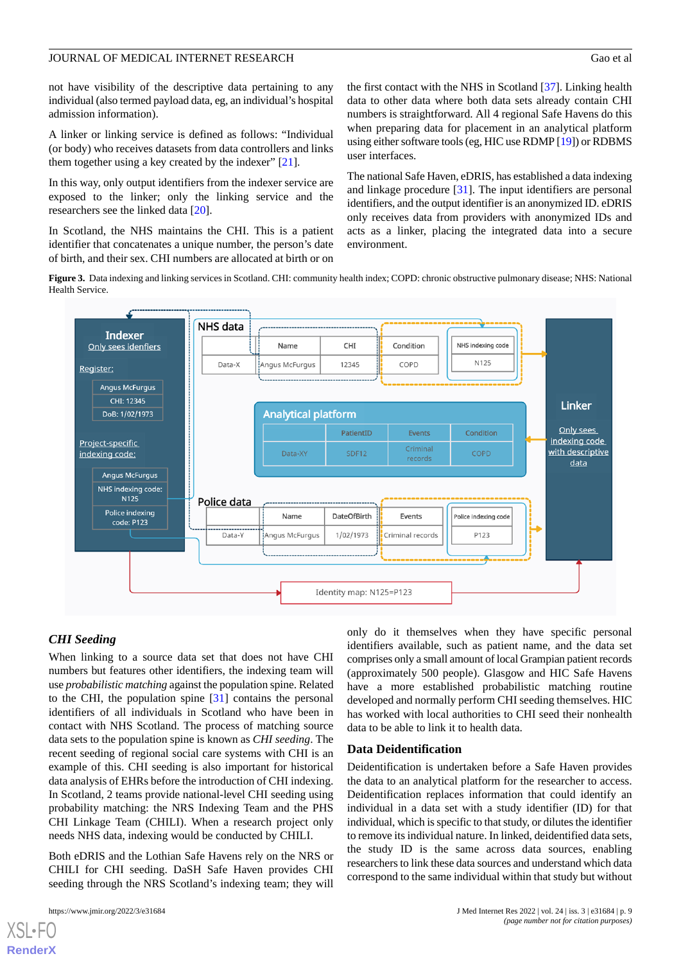not have visibility of the descriptive data pertaining to any individual (also termed payload data, eg, an individual's hospital admission information).

A linker or linking service is defined as follows: "Individual (or body) who receives datasets from data controllers and links them together using a key created by the indexer" [[21\]](#page-12-18).

In this way, only output identifiers from the indexer service are exposed to the linker; only the linking service and the researchers see the linked data [[20\]](#page-12-17).

<span id="page-8-0"></span>In Scotland, the NHS maintains the CHI. This is a patient identifier that concatenates a unique number, the person's date of birth, and their sex. CHI numbers are allocated at birth or on

the first contact with the NHS in Scotland [\[37](#page-13-7)]. Linking health data to other data where both data sets already contain CHI numbers is straightforward. All 4 regional Safe Havens do this when preparing data for placement in an analytical platform using either software tools (eg, HIC use RDMP [\[19\]](#page-12-16)) or RDBMS user interfaces.

The national Safe Haven, eDRIS, has established a data indexing and linkage procedure [[31\]](#page-13-1). The input identifiers are personal identifiers, and the output identifier is an anonymized ID. eDRIS only receives data from providers with anonymized IDs and acts as a linker, placing the integrated data into a secure environment.

**Figure 3.** Data indexing and linking services in Scotland. CHI: community health index; COPD: chronic obstructive pulmonary disease; NHS: National Health Service.



# *CHI Seeding*

When linking to a source data set that does not have CHI numbers but features other identifiers, the indexing team will use *probabilistic matching* against the population spine. Related to the CHI, the population spine [\[31](#page-13-1)] contains the personal identifiers of all individuals in Scotland who have been in contact with NHS Scotland. The process of matching source data sets to the population spine is known as *CHI seeding*. The recent seeding of regional social care systems with CHI is an example of this. CHI seeding is also important for historical data analysis of EHRs before the introduction of CHI indexing. In Scotland, 2 teams provide national-level CHI seeding using probability matching: the NRS Indexing Team and the PHS CHI Linkage Team (CHILI). When a research project only needs NHS data, indexing would be conducted by CHILI.

Both eDRIS and the Lothian Safe Havens rely on the NRS or CHILI for CHI seeding. DaSH Safe Haven provides CHI seeding through the NRS Scotland's indexing team; they will

[XSL](http://www.w3.org/Style/XSL)•FO **[RenderX](http://www.renderx.com/)**

only do it themselves when they have specific personal identifiers available, such as patient name, and the data set comprises only a small amount of local Grampian patient records (approximately 500 people). Glasgow and HIC Safe Havens have a more established probabilistic matching routine developed and normally perform CHI seeding themselves. HIC has worked with local authorities to CHI seed their nonhealth data to be able to link it to health data.

## **Data Deidentification**

Deidentification is undertaken before a Safe Haven provides the data to an analytical platform for the researcher to access. Deidentification replaces information that could identify an individual in a data set with a study identifier (ID) for that individual, which is specific to that study, or dilutes the identifier to remove its individual nature. In linked, deidentified data sets, the study ID is the same across data sources, enabling researchers to link these data sources and understand which data correspond to the same individual within that study but without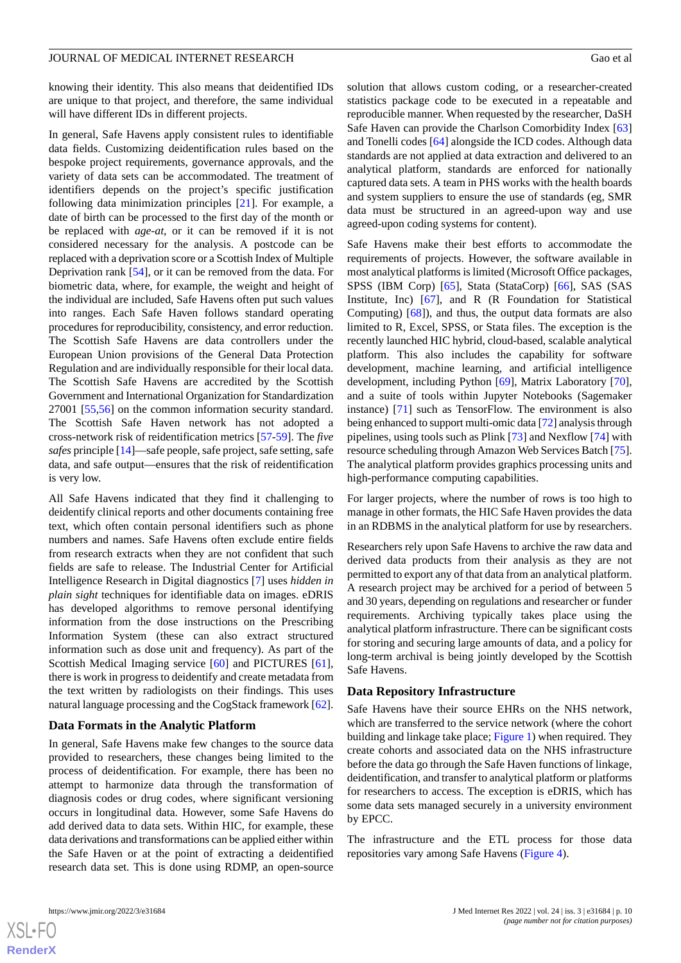knowing their identity. This also means that deidentified IDs are unique to that project, and therefore, the same individual will have different IDs in different projects.

In general, Safe Havens apply consistent rules to identifiable data fields. Customizing deidentification rules based on the bespoke project requirements, governance approvals, and the variety of data sets can be accommodated. The treatment of identifiers depends on the project's specific justification following data minimization principles [[21\]](#page-12-18). For example, a date of birth can be processed to the first day of the month or be replaced with *age-at*, or it can be removed if it is not considered necessary for the analysis. A postcode can be replaced with a deprivation score or a Scottish Index of Multiple Deprivation rank [\[54](#page-13-20)], or it can be removed from the data. For biometric data, where, for example, the weight and height of the individual are included, Safe Havens often put such values into ranges. Each Safe Haven follows standard operating procedures for reproducibility, consistency, and error reduction. The Scottish Safe Havens are data controllers under the European Union provisions of the General Data Protection Regulation and are individually responsible for their local data. The Scottish Safe Havens are accredited by the Scottish Government and International Organization for Standardization 27001 [\[55](#page-13-21),[56\]](#page-13-22) on the common information security standard. The Scottish Safe Haven network has not adopted a cross-network risk of reidentification metrics [[57](#page-13-23)[-59](#page-13-24)]. The *five safes* principle [[14\]](#page-12-12)—safe people, safe project, safe setting, safe data, and safe output—ensures that the risk of reidentification is very low.

All Safe Havens indicated that they find it challenging to deidentify clinical reports and other documents containing free text, which often contain personal identifiers such as phone numbers and names. Safe Havens often exclude entire fields from research extracts when they are not confident that such fields are safe to release. The Industrial Center for Artificial Intelligence Research in Digital diagnostics [\[7](#page-12-6)] uses *hidden in plain sight* techniques for identifiable data on images. eDRIS has developed algorithms to remove personal identifying information from the dose instructions on the Prescribing Information System (these can also extract structured information such as dose unit and frequency). As part of the Scottish Medical Imaging service [[60\]](#page-13-25) and PICTURES [[61\]](#page-13-26), there is work in progress to deidentify and create metadata from the text written by radiologists on their findings. This uses natural language processing and the CogStack framework [[62\]](#page-14-0).

#### **Data Formats in the Analytic Platform**

In general, Safe Havens make few changes to the source data provided to researchers, these changes being limited to the process of deidentification. For example, there has been no attempt to harmonize data through the transformation of diagnosis codes or drug codes, where significant versioning occurs in longitudinal data. However, some Safe Havens do add derived data to data sets. Within HIC, for example, these data derivations and transformations can be applied either within the Safe Haven or at the point of extracting a deidentified research data set. This is done using RDMP, an open-source

solution that allows custom coding, or a researcher-created statistics package code to be executed in a repeatable and reproducible manner. When requested by the researcher, DaSH Safe Haven can provide the Charlson Comorbidity Index [\[63](#page-14-1)] and Tonelli codes [[64\]](#page-14-2) alongside the ICD codes. Although data standards are not applied at data extraction and delivered to an analytical platform, standards are enforced for nationally captured data sets. A team in PHS works with the health boards and system suppliers to ensure the use of standards (eg, SMR data must be structured in an agreed-upon way and use agreed-upon coding systems for content).

Safe Havens make their best efforts to accommodate the requirements of projects. However, the software available in most analytical platforms is limited (Microsoft Office packages, SPSS (IBM Corp) [\[65](#page-14-3)], Stata (StataCorp) [[66\]](#page-14-4), SAS (SAS Institute, Inc) [\[67](#page-14-5)], and R (R Foundation for Statistical Computing) [[68\]](#page-14-6)), and thus, the output data formats are also limited to R, Excel, SPSS, or Stata files. The exception is the recently launched HIC hybrid, cloud-based, scalable analytical platform. This also includes the capability for software development, machine learning, and artificial intelligence development, including Python [\[69](#page-14-7)], Matrix Laboratory [[70\]](#page-14-8), and a suite of tools within Jupyter Notebooks (Sagemaker instance) [\[71](#page-14-9)] such as TensorFlow. The environment is also being enhanced to support multi-omic data [[72\]](#page-14-10) analysis through pipelines, using tools such as Plink [\[73](#page-14-11)] and Nexflow [[74\]](#page-14-12) with resource scheduling through Amazon Web Services Batch [\[75\]](#page-14-13). The analytical platform provides graphics processing units and high-performance computing capabilities.

For larger projects, where the number of rows is too high to manage in other formats, the HIC Safe Haven provides the data in an RDBMS in the analytical platform for use by researchers.

Researchers rely upon Safe Havens to archive the raw data and derived data products from their analysis as they are not permitted to export any of that data from an analytical platform. A research project may be archived for a period of between 5 and 30 years, depending on regulations and researcher or funder requirements. Archiving typically takes place using the analytical platform infrastructure. There can be significant costs for storing and securing large amounts of data, and a policy for long-term archival is being jointly developed by the Scottish Safe Havens.

#### **Data Repository Infrastructure**

Safe Havens have their source EHRs on the NHS network, which are transferred to the service network (where the cohort building and linkage take place; [Figure 1](#page-2-0)) when required. They create cohorts and associated data on the NHS infrastructure before the data go through the Safe Haven functions of linkage, deidentification, and transfer to analytical platform or platforms for researchers to access. The exception is eDRIS, which has some data sets managed securely in a university environment by EPCC.

The infrastructure and the ETL process for those data repositories vary among Safe Havens [\(Figure 4\)](#page-10-0).



**[RenderX](http://www.renderx.com/)**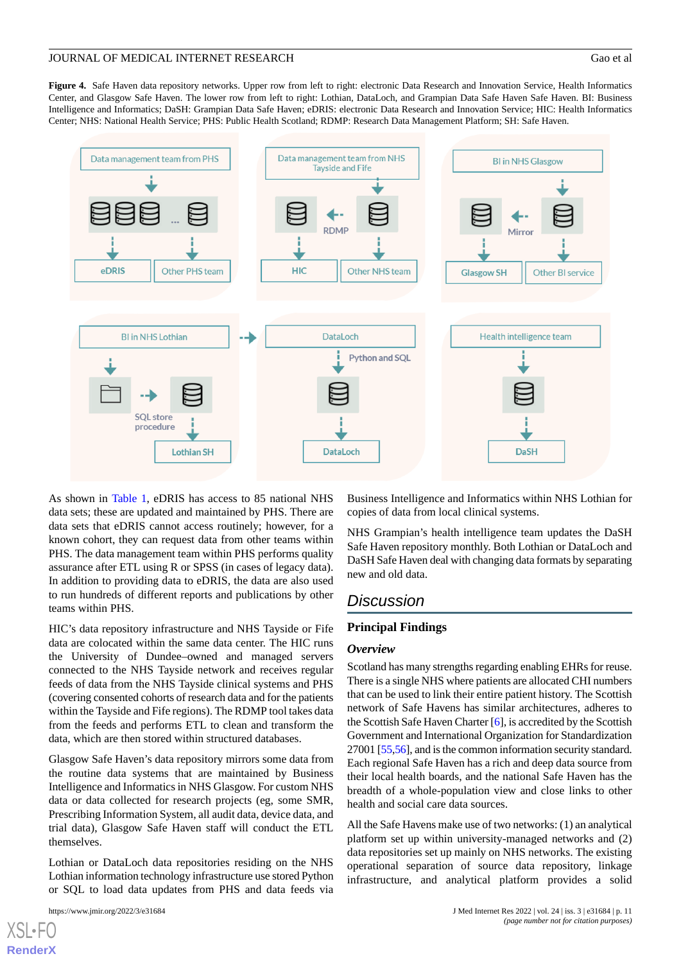<span id="page-10-0"></span>**Figure 4.** Safe Haven data repository networks. Upper row from left to right: electronic Data Research and Innovation Service, Health Informatics Center, and Glasgow Safe Haven. The lower row from left to right: Lothian, DataLoch, and Grampian Data Safe Haven Safe Haven. BI: Business Intelligence and Informatics; DaSH: Grampian Data Safe Haven; eDRIS: electronic Data Research and Innovation Service; HIC: Health Informatics Center; NHS: National Health Service; PHS: Public Health Scotland; RDMP: Research Data Management Platform; SH: Safe Haven.



As shown in [Table 1](#page-3-0), eDRIS has access to 85 national NHS data sets; these are updated and maintained by PHS. There are data sets that eDRIS cannot access routinely; however, for a known cohort, they can request data from other teams within PHS. The data management team within PHS performs quality assurance after ETL using R or SPSS (in cases of legacy data). In addition to providing data to eDRIS, the data are also used to run hundreds of different reports and publications by other teams within PHS.

HIC's data repository infrastructure and NHS Tayside or Fife data are colocated within the same data center. The HIC runs the University of Dundee–owned and managed servers connected to the NHS Tayside network and receives regular feeds of data from the NHS Tayside clinical systems and PHS (covering consented cohorts of research data and for the patients within the Tayside and Fife regions). The RDMP tool takes data from the feeds and performs ETL to clean and transform the data, which are then stored within structured databases.

Glasgow Safe Haven's data repository mirrors some data from the routine data systems that are maintained by Business Intelligence and Informatics in NHS Glasgow. For custom NHS data or data collected for research projects (eg, some SMR, Prescribing Information System, all audit data, device data, and trial data), Glasgow Safe Haven staff will conduct the ETL themselves.

Lothian or DataLoch data repositories residing on the NHS Lothian information technology infrastructure use stored Python or SQL to load data updates from PHS and data feeds via

Business Intelligence and Informatics within NHS Lothian for copies of data from local clinical systems.

NHS Grampian's health intelligence team updates the DaSH Safe Haven repository monthly. Both Lothian or DataLoch and DaSH Safe Haven deal with changing data formats by separating new and old data.

# *Discussion*

#### **Principal Findings**

#### *Overview*

Scotland has many strengths regarding enabling EHRs for reuse. There is a single NHS where patients are allocated CHI numbers that can be used to link their entire patient history. The Scottish network of Safe Havens has similar architectures, adheres to the Scottish Safe Haven Charter [\[6](#page-12-5)], is accredited by the Scottish Government and International Organization for Standardization 27001 [\[55](#page-13-21)[,56](#page-13-22)], and is the common information security standard. Each regional Safe Haven has a rich and deep data source from their local health boards, and the national Safe Haven has the breadth of a whole-population view and close links to other health and social care data sources.

All the Safe Havens make use of two networks: (1) an analytical platform set up within university-managed networks and (2) data repositories set up mainly on NHS networks. The existing operational separation of source data repository, linkage infrastructure, and analytical platform provides a solid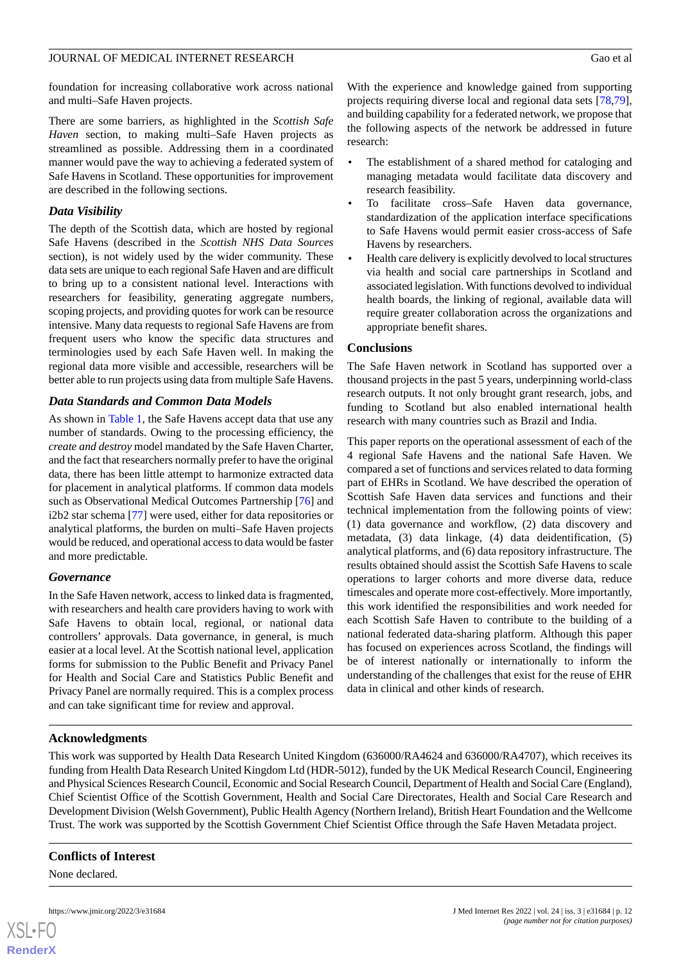foundation for increasing collaborative work across national and multi–Safe Haven projects.

There are some barriers, as highlighted in the *Scottish Safe Haven* section, to making multi–Safe Haven projects as streamlined as possible. Addressing them in a coordinated manner would pave the way to achieving a federated system of Safe Havens in Scotland. These opportunities for improvement are described in the following sections.

# *Data Visibility*

The depth of the Scottish data, which are hosted by regional Safe Havens (described in the *Scottish NHS Data Sources* section), is not widely used by the wider community. These data sets are unique to each regional Safe Haven and are difficult to bring up to a consistent national level. Interactions with researchers for feasibility, generating aggregate numbers, scoping projects, and providing quotes for work can be resource intensive. Many data requests to regional Safe Havens are from frequent users who know the specific data structures and terminologies used by each Safe Haven well. In making the regional data more visible and accessible, researchers will be better able to run projects using data from multiple Safe Havens.

# *Data Standards and Common Data Models*

As shown in [Table 1](#page-3-0), the Safe Havens accept data that use any number of standards. Owing to the processing efficiency, the *create and destroy* model mandated by the Safe Haven Charter, and the fact that researchers normally prefer to have the original data, there has been little attempt to harmonize extracted data for placement in analytical platforms. If common data models such as Observational Medical Outcomes Partnership [[76\]](#page-14-14) and i2b2 star schema [\[77](#page-14-15)] were used, either for data repositories or analytical platforms, the burden on multi–Safe Haven projects would be reduced, and operational access to data would be faster and more predictable.

# *Governance*

In the Safe Haven network, access to linked data is fragmented, with researchers and health care providers having to work with Safe Havens to obtain local, regional, or national data controllers' approvals. Data governance, in general, is much easier at a local level. At the Scottish national level, application forms for submission to the Public Benefit and Privacy Panel for Health and Social Care and Statistics Public Benefit and Privacy Panel are normally required. This is a complex process and can take significant time for review and approval.

With the experience and knowledge gained from supporting projects requiring diverse local and regional data sets [\[78](#page-14-16),[79\]](#page-14-17), and building capability for a federated network, we propose that the following aspects of the network be addressed in future research:

- The establishment of a shared method for cataloging and managing metadata would facilitate data discovery and research feasibility.
- To facilitate cross–Safe Haven data governance, standardization of the application interface specifications to Safe Havens would permit easier cross-access of Safe Havens by researchers.
- Health care delivery is explicitly devolved to local structures via health and social care partnerships in Scotland and associated legislation. With functions devolved to individual health boards, the linking of regional, available data will require greater collaboration across the organizations and appropriate benefit shares.

# **Conclusions**

The Safe Haven network in Scotland has supported over a thousand projects in the past 5 years, underpinning world-class research outputs. It not only brought grant research, jobs, and funding to Scotland but also enabled international health research with many countries such as Brazil and India.

This paper reports on the operational assessment of each of the 4 regional Safe Havens and the national Safe Haven. We compared a set of functions and services related to data forming part of EHRs in Scotland. We have described the operation of Scottish Safe Haven data services and functions and their technical implementation from the following points of view: (1) data governance and workflow, (2) data discovery and metadata, (3) data linkage, (4) data deidentification, (5) analytical platforms, and (6) data repository infrastructure. The results obtained should assist the Scottish Safe Havens to scale operations to larger cohorts and more diverse data, reduce timescales and operate more cost-effectively. More importantly, this work identified the responsibilities and work needed for each Scottish Safe Haven to contribute to the building of a national federated data-sharing platform. Although this paper has focused on experiences across Scotland, the findings will be of interest nationally or internationally to inform the understanding of the challenges that exist for the reuse of EHR data in clinical and other kinds of research.

# **Acknowledgments**

This work was supported by Health Data Research United Kingdom (636000/RA4624 and 636000/RA4707), which receives its funding from Health Data Research United Kingdom Ltd (HDR-5012), funded by the UK Medical Research Council, Engineering and Physical Sciences Research Council, Economic and Social Research Council, Department of Health and Social Care (England), Chief Scientist Office of the Scottish Government, Health and Social Care Directorates, Health and Social Care Research and Development Division (Welsh Government), Public Health Agency (Northern Ireland), British Heart Foundation and the Wellcome Trust. The work was supported by the Scottish Government Chief Scientist Office through the Safe Haven Metadata project.

# **Conflicts of Interest**

None declared.

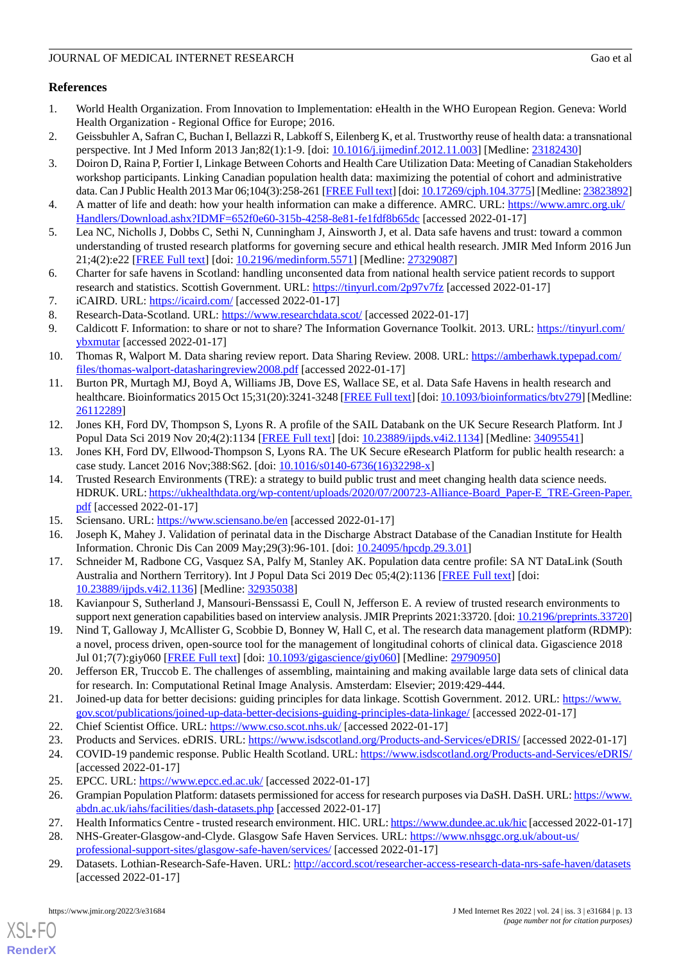# **References**

- <span id="page-12-0"></span>1. World Health Organization. From Innovation to Implementation: eHealth in the WHO European Region. Geneva: World Health Organization - Regional Office for Europe; 2016.
- <span id="page-12-2"></span><span id="page-12-1"></span>2. Geissbuhler A, Safran C, Buchan I, Bellazzi R, Labkoff S, Eilenberg K, et al. Trustworthy reuse of health data: a transnational perspective. Int J Med Inform 2013 Jan;82(1):1-9. [doi: [10.1016/j.ijmedinf.2012.11.003\]](http://dx.doi.org/10.1016/j.ijmedinf.2012.11.003) [Medline: [23182430](http://www.ncbi.nlm.nih.gov/entrez/query.fcgi?cmd=Retrieve&db=PubMed&list_uids=23182430&dopt=Abstract)]
- 3. Doiron D, Raina P, Fortier I, Linkage Between Cohorts and Health Care Utilization Data: Meeting of Canadian Stakeholders workshop participants. Linking Canadian population health data: maximizing the potential of cohort and administrative data. Can J Public Health 2013 Mar 06;104(3):258-261 [[FREE Full text](http://europepmc.org/abstract/MED/23823892)] [doi: [10.17269/cjph.104.3775](http://dx.doi.org/10.17269/cjph.104.3775)] [Medline: [23823892\]](http://www.ncbi.nlm.nih.gov/entrez/query.fcgi?cmd=Retrieve&db=PubMed&list_uids=23823892&dopt=Abstract)
- <span id="page-12-4"></span><span id="page-12-3"></span>4. A matter of life and death: how your health information can make a difference. AMRC. URL: [https://www.amrc.org.uk/](https://www.amrc.org.uk/Handlers/Download.ashx?IDMF=652f0e60-315b-4258-8e81-fe1fdf8b65dc) [Handlers/Download.ashx?IDMF=652f0e60-315b-4258-8e81-fe1fdf8b65dc](https://www.amrc.org.uk/Handlers/Download.ashx?IDMF=652f0e60-315b-4258-8e81-fe1fdf8b65dc) [accessed 2022-01-17]
- <span id="page-12-5"></span>5. Lea NC, Nicholls J, Dobbs C, Sethi N, Cunningham J, Ainsworth J, et al. Data safe havens and trust: toward a common understanding of trusted research platforms for governing secure and ethical health research. JMIR Med Inform 2016 Jun 21;4(2):e22 [\[FREE Full text](https://medinform.jmir.org/2016/2/e22/)] [doi: [10.2196/medinform.5571\]](http://dx.doi.org/10.2196/medinform.5571) [Medline: [27329087\]](http://www.ncbi.nlm.nih.gov/entrez/query.fcgi?cmd=Retrieve&db=PubMed&list_uids=27329087&dopt=Abstract)
- <span id="page-12-7"></span><span id="page-12-6"></span>6. Charter for safe havens in Scotland: handling unconsented data from national health service patient records to support research and statistics. Scottish Government. URL: [https://tinyurl.com/2p97v7fz](https://www.gov.scot/publications/charter-safe-havens-scotland-handling-unconsented-data-national-health-service-patient-records-support-research-statistics/) [accessed 2022-01-17]
- <span id="page-12-8"></span>7. iCAIRD. URL: <https://icaird.com/> [accessed 2022-01-17]
- <span id="page-12-9"></span>8. Research-Data-Scotland. URL: <https://www.researchdata.scot/> [accessed 2022-01-17]
- 9. Caldicott F. Information: to share or not to share? The Information Governance Toolkit. 2013. URL: [https://tinyurl.com/](https://assets.publishing.service.gov.uk/government/uploads/system/uploads/attachment_data/file/192572/2900774_InfoGovernance_accv2.pdf) [ybxmutar](https://assets.publishing.service.gov.uk/government/uploads/system/uploads/attachment_data/file/192572/2900774_InfoGovernance_accv2.pdf) [accessed 2022-01-17]
- <span id="page-12-10"></span>10. Thomas R, Walport M. Data sharing review report. Data Sharing Review. 2008. URL: [https://amberhawk.typepad.com/](https://amberhawk.typepad.com/files/thomas-walport-datasharingreview2008.pdf) [files/thomas-walport-datasharingreview2008.pdf](https://amberhawk.typepad.com/files/thomas-walport-datasharingreview2008.pdf) [accessed 2022-01-17]
- <span id="page-12-11"></span>11. Burton PR, Murtagh MJ, Boyd A, Williams JB, Dove ES, Wallace SE, et al. Data Safe Havens in health research and healthcare. Bioinformatics 2015 Oct 15;31(20):3241-3248 [[FREE Full text\]](http://europepmc.org/abstract/MED/26112289) [doi: [10.1093/bioinformatics/btv279](http://dx.doi.org/10.1093/bioinformatics/btv279)] [Medline: [26112289](http://www.ncbi.nlm.nih.gov/entrez/query.fcgi?cmd=Retrieve&db=PubMed&list_uids=26112289&dopt=Abstract)]
- <span id="page-12-12"></span>12. Jones KH, Ford DV, Thompson S, Lyons R. A profile of the SAIL Databank on the UK Secure Research Platform. Int J Popul Data Sci 2019 Nov 20;4(2):1134 [\[FREE Full text\]](http://europepmc.org/abstract/MED/34095541) [doi: [10.23889/ijpds.v4i2.1134](http://dx.doi.org/10.23889/ijpds.v4i2.1134)] [Medline: [34095541](http://www.ncbi.nlm.nih.gov/entrez/query.fcgi?cmd=Retrieve&db=PubMed&list_uids=34095541&dopt=Abstract)]
- 13. Jones KH, Ford DV, Ellwood-Thompson S, Lyons RA. The UK Secure eResearch Platform for public health research: a case study. Lancet 2016 Nov;388:S62. [doi: [10.1016/s0140-6736\(16\)32298-x](http://dx.doi.org/10.1016/s0140-6736(16)32298-x)]
- <span id="page-12-13"></span>14. Trusted Research Environments (TRE): a strategy to build public trust and meet changing health data science needs. HDRUK. URL: [https://ukhealthdata.org/wp-content/uploads/2020/07/200723-Alliance-Board\\_Paper-E\\_TRE-Green-Paper.](https://ukhealthdata.org/wp-content/uploads/2020/07/200723-Alliance-Board_Paper-E_TRE-Green-Paper.pdf) [pdf](https://ukhealthdata.org/wp-content/uploads/2020/07/200723-Alliance-Board_Paper-E_TRE-Green-Paper.pdf) [accessed 2022-01-17]
- <span id="page-12-14"></span>15. Sciensano. URL:<https://www.sciensano.be/en> [accessed 2022-01-17]
- <span id="page-12-15"></span>16. Joseph K, Mahey J. Validation of perinatal data in the Discharge Abstract Database of the Canadian Institute for Health Information. Chronic Dis Can 2009 May;29(3):96-101. [doi: [10.24095/hpcdp.29.3.01](http://dx.doi.org/10.24095/hpcdp.29.3.01)]
- <span id="page-12-16"></span>17. Schneider M, Radbone CG, Vasquez SA, Palfy M, Stanley AK. Population data centre profile: SA NT DataLink (South Australia and Northern Territory). Int J Popul Data Sci 2019 Dec 05;4(2):1136 [[FREE Full text](http://europepmc.org/abstract/MED/32935038)] [doi: [10.23889/ijpds.v4i2.1136](http://dx.doi.org/10.23889/ijpds.v4i2.1136)] [Medline: [32935038\]](http://www.ncbi.nlm.nih.gov/entrez/query.fcgi?cmd=Retrieve&db=PubMed&list_uids=32935038&dopt=Abstract)
- <span id="page-12-17"></span>18. Kavianpour S, Sutherland J, Mansouri-Benssassi E, Coull N, Jefferson E. A review of trusted research environments to support next generation capabilities based on interview analysis. JMIR Preprints 2021:33720. [doi: [10.2196/preprints.33720\]](http://dx.doi.org/10.2196/preprints.33720)
- <span id="page-12-18"></span>19. Nind T, Galloway J, McAllister G, Scobbie D, Bonney W, Hall C, et al. The research data management platform (RDMP): a novel, process driven, open-source tool for the management of longitudinal cohorts of clinical data. Gigascience 2018 Jul 01;7(7):giy060 [\[FREE Full text\]](https://academic.oup.com/gigascience/article-lookup/doi/10.1093/gigascience/giy060) [doi: [10.1093/gigascience/giy060\]](http://dx.doi.org/10.1093/gigascience/giy060) [Medline: [29790950](http://www.ncbi.nlm.nih.gov/entrez/query.fcgi?cmd=Retrieve&db=PubMed&list_uids=29790950&dopt=Abstract)]
- <span id="page-12-21"></span><span id="page-12-20"></span><span id="page-12-19"></span>20. Jefferson ER, Truccob E. The challenges of assembling, maintaining and making available large data sets of clinical data for research. In: Computational Retinal Image Analysis. Amsterdam: Elsevier; 2019:429-444.
- <span id="page-12-22"></span>21. Joined-up data for better decisions: guiding principles for data linkage. Scottish Government. 2012. URL: [https://www.](https://www.gov.scot/publications/joined-up-data-better-decisions-guiding-principles-data-linkage/) [gov.scot/publications/joined-up-data-better-decisions-guiding-principles-data-linkage/](https://www.gov.scot/publications/joined-up-data-better-decisions-guiding-principles-data-linkage/) [accessed 2022-01-17]
- <span id="page-12-23"></span>22. Chief Scientist Office. URL: <https://www.cso.scot.nhs.uk/> [accessed 2022-01-17]
- <span id="page-12-24"></span>23. Products and Services. eDRIS. URL:<https://www.isdscotland.org/Products-and-Services/eDRIS/> [accessed 2022-01-17]
- <span id="page-12-25"></span>24. COVID-19 pandemic response. Public Health Scotland. URL:<https://www.isdscotland.org/Products-and-Services/eDRIS/> [accessed 2022-01-17]
- <span id="page-12-26"></span>25. EPCC. URL: <https://www.epcc.ed.ac.uk/> [accessed 2022-01-17]
- 26. Grampian Population Platform: datasets permissioned for access for research purposes via DaSH. DaSH. URL: [https://www.](https://www.abdn.ac.uk/iahs/facilities/dash-datasets.php) [abdn.ac.uk/iahs/facilities/dash-datasets.php](https://www.abdn.ac.uk/iahs/facilities/dash-datasets.php) [accessed 2022-01-17]
- 27. Health Informatics Centre trusted research environment. HIC. URL:<https://www.dundee.ac.uk/hic> [accessed 2022-01-17]
- 28. NHS-Greater-Glasgow-and-Clyde. Glasgow Safe Haven Services. URL: [https://www.nhsggc.org.uk/about-us/](https://www.nhsggc.org.uk/about-us/professional-support-sites/glasgow-safe-haven/services/) [professional-support-sites/glasgow-safe-haven/services/](https://www.nhsggc.org.uk/about-us/professional-support-sites/glasgow-safe-haven/services/) [accessed 2022-01-17]
- 29. Datasets. Lothian-Research-Safe-Haven. URL: <http://accord.scot/researcher-access-research-data-nrs-safe-haven/datasets> [accessed 2022-01-17]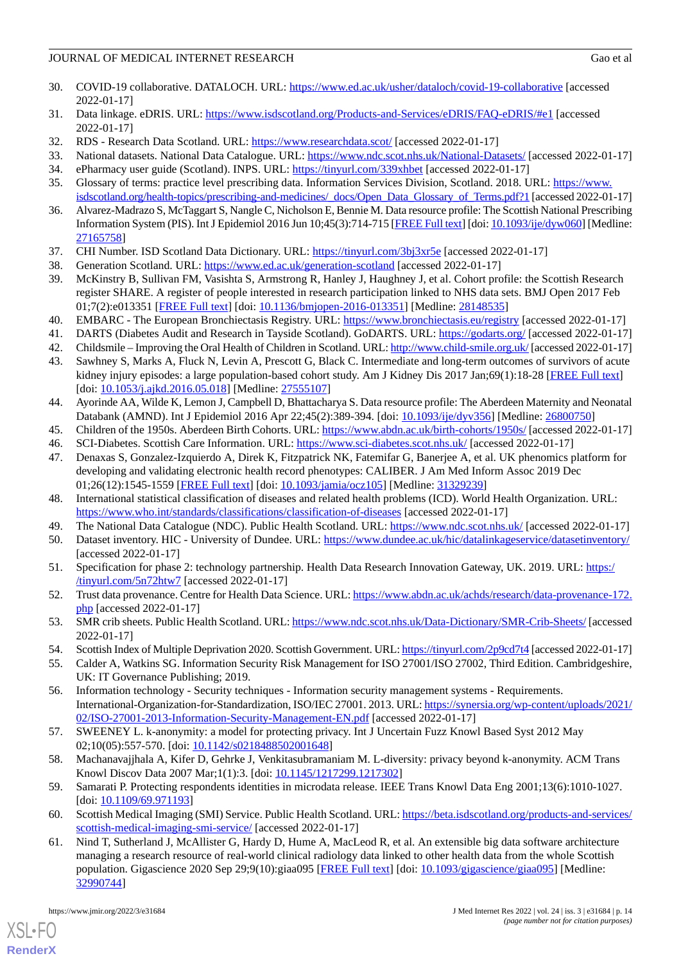# JOURNAL OF MEDICAL INTERNET RESEARCH Gao et al. Gao et al.

- <span id="page-13-0"></span>30. COVID-19 collaborative. DATALOCH. URL:<https://www.ed.ac.uk/usher/dataloch/covid-19-collaborative> [accessed 2022-01-17]
- <span id="page-13-1"></span>31. Data linkage. eDRIS. URL: <https://www.isdscotland.org/Products-and-Services/eDRIS/FAQ-eDRIS/#e1> [accessed 2022-01-17]
- <span id="page-13-3"></span><span id="page-13-2"></span>32. RDS - Research Data Scotland. URL:<https://www.researchdata.scot/> [accessed 2022-01-17]
- <span id="page-13-4"></span>33. National datasets. National Data Catalogue. URL:<https://www.ndc.scot.nhs.uk/National-Datasets/> [accessed 2022-01-17]
- <span id="page-13-5"></span>34. ePharmacy user guide (Scotland). INPS. URL: [https://tinyurl.com/339xhbet](http://help.visionhealth.co.uk/PDFs/Scotland/ePharmacy%20User%20Guide%20(Scotland).pdf?__hstc=181259896.664cd4c47006c8c24d7110a4b7a0ef56.1642434358675.1642434358675.1642434358675.1&__hssc=181259896.1.1642434358678&__hsfp=3651485065) [accessed 2022-01-17]
- <span id="page-13-6"></span>35. Glossary of terms: practice level prescribing data. Information Services Division, Scotland. 2018. URL: [https://www.](https://www.isdscotland.org/health-topics/prescribing-and-medicines/_docs/Open_Data_Glossary_of_Terms.pdf?1) [isdscotland.org/health-topics/prescribing-and-medicines/\\_docs/Open\\_Data\\_Glossary\\_of\\_Terms.pdf?1](https://www.isdscotland.org/health-topics/prescribing-and-medicines/_docs/Open_Data_Glossary_of_Terms.pdf?1) [accessed 2022-01-17]
- <span id="page-13-7"></span>36. Alvarez-Madrazo S, McTaggart S, Nangle C, Nicholson E, Bennie M. Data resource profile: The Scottish National Prescribing Information System (PIS). Int J Epidemiol 2016 Jun 10;45(3):714-715 [\[FREE Full text\]](http://europepmc.org/abstract/MED/27165758) [doi: [10.1093/ije/dyw060\]](http://dx.doi.org/10.1093/ije/dyw060) [Medline: [27165758](http://www.ncbi.nlm.nih.gov/entrez/query.fcgi?cmd=Retrieve&db=PubMed&list_uids=27165758&dopt=Abstract)]
- <span id="page-13-9"></span><span id="page-13-8"></span>37. CHI Number. ISD Scotland Data Dictionary. URL: [https://tinyurl.com/3bj3xr5e](http://www.ndcdev.scot.nhs.uk/Dictionary-A-Z/Definitions/index.asp?Search=C&ID=128&Title=CHI%20Number#:~:text=The%20CHI%20number%20is%20a,and%20an%20arithmetical%20check%20digit) [accessed 2022-01-17]
- 38. Generation Scotland. URL: <https://www.ed.ac.uk/generation-scotland> [accessed 2022-01-17]
- <span id="page-13-10"></span>39. McKinstry B, Sullivan FM, Vasishta S, Armstrong R, Hanley J, Haughney J, et al. Cohort profile: the Scottish Research register SHARE. A register of people interested in research participation linked to NHS data sets. BMJ Open 2017 Feb 01;7(2):e013351 [\[FREE Full text](https://bmjopen.bmj.com/lookup/pmidlookup?view=long&pmid=28148535)] [doi: [10.1136/bmjopen-2016-013351\]](http://dx.doi.org/10.1136/bmjopen-2016-013351) [Medline: [28148535](http://www.ncbi.nlm.nih.gov/entrez/query.fcgi?cmd=Retrieve&db=PubMed&list_uids=28148535&dopt=Abstract)]
- 40. EMBARC The European Bronchiectasis Registry. URL:<https://www.bronchiectasis.eu/registry> [accessed 2022-01-17]
- 41. DARTS (Diabetes Audit and Research in Tayside Scotland). GoDARTS. URL: <https://godarts.org/> [accessed 2022-01-17]
- 42. Childsmile Improving the Oral Health of Children in Scotland. URL:<http://www.child-smile.org.uk/> [accessed 2022-01-17]
- 43. Sawhney S, Marks A, Fluck N, Levin A, Prescott G, Black C. Intermediate and long-term outcomes of survivors of acute kidney injury episodes: a large population-based cohort study. Am J Kidney Dis 2017 Jan;69(1):18-28 [\[FREE Full text\]](https://linkinghub.elsevier.com/retrieve/pii/S0272-6386(16)30256-6) [doi: [10.1053/j.ajkd.2016.05.018](http://dx.doi.org/10.1053/j.ajkd.2016.05.018)] [Medline: [27555107\]](http://www.ncbi.nlm.nih.gov/entrez/query.fcgi?cmd=Retrieve&db=PubMed&list_uids=27555107&dopt=Abstract)
- <span id="page-13-13"></span><span id="page-13-12"></span><span id="page-13-11"></span>44. Ayorinde AA, Wilde K, Lemon J, Campbell D, Bhattacharya S. Data resource profile: The Aberdeen Maternity and Neonatal Databank (AMND). Int J Epidemiol 2016 Apr 22;45(2):389-394. [doi: [10.1093/ije/dyv356](http://dx.doi.org/10.1093/ije/dyv356)] [Medline: [26800750](http://www.ncbi.nlm.nih.gov/entrez/query.fcgi?cmd=Retrieve&db=PubMed&list_uids=26800750&dopt=Abstract)]
- 45. Children of the 1950s. Aberdeen Birth Cohorts. URL:<https://www.abdn.ac.uk/birth-cohorts/1950s/> [accessed 2022-01-17]
- <span id="page-13-14"></span>46. SCI-Diabetes. Scottish Care Information. URL: <https://www.sci-diabetes.scot.nhs.uk/> [accessed 2022-01-17]
- <span id="page-13-15"></span>47. Denaxas S, Gonzalez-Izquierdo A, Direk K, Fitzpatrick NK, Fatemifar G, Banerjee A, et al. UK phenomics platform for developing and validating electronic health record phenotypes: CALIBER. J Am Med Inform Assoc 2019 Dec 01;26(12):1545-1559 [[FREE Full text](http://europepmc.org/abstract/MED/31329239)] [doi: [10.1093/jamia/ocz105\]](http://dx.doi.org/10.1093/jamia/ocz105) [Medline: [31329239](http://www.ncbi.nlm.nih.gov/entrez/query.fcgi?cmd=Retrieve&db=PubMed&list_uids=31329239&dopt=Abstract)]
- <span id="page-13-16"></span>48. International statistical classification of diseases and related health problems (ICD). World Health Organization. URL: <https://www.who.int/standards/classifications/classification-of-diseases> [accessed 2022-01-17]
- <span id="page-13-17"></span>49. The National Data Catalogue (NDC). Public Health Scotland. URL:<https://www.ndc.scot.nhs.uk/> [accessed 2022-01-17]
- <span id="page-13-18"></span>50. Dataset inventory. HIC - University of Dundee. URL:<https://www.dundee.ac.uk/hic/datalinkageservice/datasetinventory/> [accessed 2022-01-17]
- <span id="page-13-19"></span>51. Specification for phase 2: technology partnership. Health Data Research Innovation Gateway, UK. 2019. URL: [https:/](https://www.hdruk.ac.uk/wp-content/uploads/2019/12/191016-DIH-Gateway-Phase-2-Technology-Partnership-Specification_Update-20-Nov.pdf) [/tinyurl.com/5n72htw7](https://www.hdruk.ac.uk/wp-content/uploads/2019/12/191016-DIH-Gateway-Phase-2-Technology-Partnership-Specification_Update-20-Nov.pdf) [accessed 2022-01-17]
- <span id="page-13-21"></span><span id="page-13-20"></span>52. Trust data provenance. Centre for Health Data Science. URL: [https://www.abdn.ac.uk/achds/research/data-provenance-172.](https://www.abdn.ac.uk/achds/research/data-provenance-172.php) [php](https://www.abdn.ac.uk/achds/research/data-provenance-172.php) [accessed 2022-01-17]
- <span id="page-13-22"></span>53. SMR crib sheets. Public Health Scotland. URL:<https://www.ndc.scot.nhs.uk/Data-Dictionary/SMR-Crib-Sheets/> [accessed 2022-01-17]
- 54. Scottish Index of Multiple Deprivation 2020. Scottish Government. URL: [https://tinyurl.com/2p9cd7t4](https://www.gov.scot/collections/scottish-index-of-multiple-deprivation-2020/#:~:text=SIMD%20ranks%20data%20zones%20from,deprived%20data%20zones%20in%20Scotland) [accessed 2022-01-17]
- <span id="page-13-23"></span>55. Calder A, Watkins SG. Information Security Risk Management for ISO 27001/ISO 27002, Third Edition. Cambridgeshire, UK: IT Governance Publishing; 2019.
- <span id="page-13-24"></span>56. Information technology - Security techniques - Information security management systems - Requirements. International-Organization-for-Standardization, ISO/IEC 27001. 2013. URL: [https://synersia.org/wp-content/uploads/2021/](https://synersia.org/wp-content/uploads/2021/02/ISO-27001-2013-Information-Security-Management-EN.pdf) [02/ISO-27001-2013-Information-Security-Management-EN.pdf](https://synersia.org/wp-content/uploads/2021/02/ISO-27001-2013-Information-Security-Management-EN.pdf) [accessed 2022-01-17]
- <span id="page-13-25"></span>57. SWEENEY L. k-anonymity: a model for protecting privacy. Int J Uncertain Fuzz Knowl Based Syst 2012 May 02;10(05):557-570. [doi: [10.1142/s0218488502001648\]](http://dx.doi.org/10.1142/s0218488502001648)
- <span id="page-13-26"></span>58. Machanavajjhala A, Kifer D, Gehrke J, Venkitasubramaniam M. L-diversity: privacy beyond k-anonymity. ACM Trans Knowl Discov Data 2007 Mar;1(1):3. [doi: [10.1145/1217299.1217302\]](http://dx.doi.org/10.1145/1217299.1217302)
- 59. Samarati P. Protecting respondents identities in microdata release. IEEE Trans Knowl Data Eng 2001;13(6):1010-1027. [doi: [10.1109/69.971193\]](http://dx.doi.org/10.1109/69.971193)
- 60. Scottish Medical Imaging (SMI) Service. Public Health Scotland. URL: [https://beta.isdscotland.org/products-and-services/](https://beta.isdscotland.org/products-and-services/scottish-medical-imaging-smi-service/) [scottish-medical-imaging-smi-service/](https://beta.isdscotland.org/products-and-services/scottish-medical-imaging-smi-service/) [accessed 2022-01-17]
- 61. Nind T, Sutherland J, McAllister G, Hardy D, Hume A, MacLeod R, et al. An extensible big data software architecture managing a research resource of real-world clinical radiology data linked to other health data from the whole Scottish population. Gigascience 2020 Sep 29;9(10):giaa095 [\[FREE Full text\]](https://academic.oup.com/gigascience/article-lookup/doi/10.1093/gigascience/giaa095) [doi: [10.1093/gigascience/giaa095](http://dx.doi.org/10.1093/gigascience/giaa095)] [Medline: [32990744](http://www.ncbi.nlm.nih.gov/entrez/query.fcgi?cmd=Retrieve&db=PubMed&list_uids=32990744&dopt=Abstract)]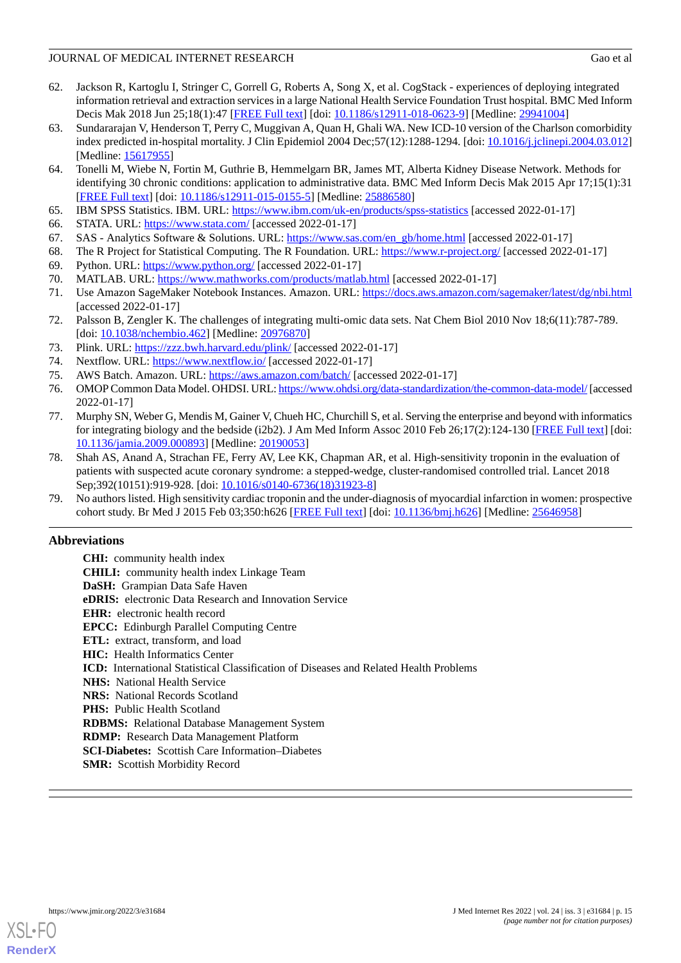# JOURNAL OF MEDICAL INTERNET RESEARCH Gao et al

- <span id="page-14-0"></span>62. Jackson R, Kartoglu I, Stringer C, Gorrell G, Roberts A, Song X, et al. CogStack - experiences of deploying integrated information retrieval and extraction services in a large National Health Service Foundation Trust hospital. BMC Med Inform Decis Mak 2018 Jun 25;18(1):47 [[FREE Full text\]](https://bmcmedinformdecismak.biomedcentral.com/articles/10.1186/s12911-018-0623-9) [doi: [10.1186/s12911-018-0623-9](http://dx.doi.org/10.1186/s12911-018-0623-9)] [Medline: [29941004](http://www.ncbi.nlm.nih.gov/entrez/query.fcgi?cmd=Retrieve&db=PubMed&list_uids=29941004&dopt=Abstract)]
- <span id="page-14-1"></span>63. Sundararajan V, Henderson T, Perry C, Muggivan A, Quan H, Ghali WA. New ICD-10 version of the Charlson comorbidity index predicted in-hospital mortality. J Clin Epidemiol 2004 Dec;57(12):1288-1294. [doi: [10.1016/j.jclinepi.2004.03.012](http://dx.doi.org/10.1016/j.jclinepi.2004.03.012)] [Medline: [15617955](http://www.ncbi.nlm.nih.gov/entrez/query.fcgi?cmd=Retrieve&db=PubMed&list_uids=15617955&dopt=Abstract)]
- <span id="page-14-2"></span>64. Tonelli M, Wiebe N, Fortin M, Guthrie B, Hemmelgarn BR, James MT, Alberta Kidney Disease Network. Methods for identifying 30 chronic conditions: application to administrative data. BMC Med Inform Decis Mak 2015 Apr 17;15(1):31 [[FREE Full text](https://bmcmedinformdecismak.biomedcentral.com/articles/10.1186/s12911-015-0155-5)] [doi: [10.1186/s12911-015-0155-5\]](http://dx.doi.org/10.1186/s12911-015-0155-5) [Medline: [25886580](http://www.ncbi.nlm.nih.gov/entrez/query.fcgi?cmd=Retrieve&db=PubMed&list_uids=25886580&dopt=Abstract)]
- <span id="page-14-5"></span><span id="page-14-4"></span><span id="page-14-3"></span>65. IBM SPSS Statistics. IBM. URL: <https://www.ibm.com/uk-en/products/spss-statistics> [accessed 2022-01-17]
- <span id="page-14-6"></span>66. STATA. URL:<https://www.stata.com/> [accessed 2022-01-17]
- <span id="page-14-7"></span>67. SAS - Analytics Software & Solutions. URL: [https://www.sas.com/en\\_gb/home.html](https://www.sas.com/en_gb/home.html) [accessed 2022-01-17]
- <span id="page-14-8"></span>68. The R Project for Statistical Computing. The R Foundation. URL: <https://www.r-project.org/> [accessed 2022-01-17]
- <span id="page-14-9"></span>69. Python. URL:<https://www.python.org/> [accessed 2022-01-17]
- 70. MATLAB. URL: <https://www.mathworks.com/products/matlab.html> [accessed 2022-01-17]
- <span id="page-14-10"></span>71. Use Amazon SageMaker Notebook Instances. Amazon. URL: <https://docs.aws.amazon.com/sagemaker/latest/dg/nbi.html> [accessed 2022-01-17]
- <span id="page-14-12"></span><span id="page-14-11"></span>72. Palsson B, Zengler K. The challenges of integrating multi-omic data sets. Nat Chem Biol 2010 Nov 18;6(11):787-789. [doi: [10.1038/nchembio.462](http://dx.doi.org/10.1038/nchembio.462)] [Medline: [20976870\]](http://www.ncbi.nlm.nih.gov/entrez/query.fcgi?cmd=Retrieve&db=PubMed&list_uids=20976870&dopt=Abstract)
- <span id="page-14-14"></span><span id="page-14-13"></span>73. Plink. URL: <https://zzz.bwh.harvard.edu/plink/> [accessed 2022-01-17]
- 74. Nextflow. URL: <https://www.nextflow.io/> [accessed 2022-01-17]
- <span id="page-14-15"></span>75. AWS Batch. Amazon. URL: <https://aws.amazon.com/batch/> [accessed 2022-01-17]
- 76. OMOP Common Data Model. OHDSI. URL:<https://www.ohdsi.org/data-standardization/the-common-data-model/> [accessed 2022-01-17]
- <span id="page-14-16"></span>77. Murphy SN, Weber G, Mendis M, Gainer V, Chueh HC, Churchill S, et al. Serving the enterprise and beyond with informatics for integrating biology and the bedside (i2b2). J Am Med Inform Assoc 2010 Feb 26;17(2):124-130 [\[FREE Full text](http://europepmc.org/abstract/MED/20190053)] [doi: [10.1136/jamia.2009.000893](http://dx.doi.org/10.1136/jamia.2009.000893)] [Medline: [20190053\]](http://www.ncbi.nlm.nih.gov/entrez/query.fcgi?cmd=Retrieve&db=PubMed&list_uids=20190053&dopt=Abstract)
- <span id="page-14-17"></span>78. Shah AS, Anand A, Strachan FE, Ferry AV, Lee KK, Chapman AR, et al. High-sensitivity troponin in the evaluation of patients with suspected acute coronary syndrome: a stepped-wedge, cluster-randomised controlled trial. Lancet 2018 Sep;392(10151):919-928. [doi: [10.1016/s0140-6736\(18\)31923-8\]](http://dx.doi.org/10.1016/s0140-6736(18)31923-8)
- 79. No authors listed. High sensitivity cardiac troponin and the under-diagnosis of myocardial infarction in women: prospective cohort study. Br Med J 2015 Feb 03;350:h626 [[FREE Full text](http://europepmc.org/abstract/MED/25646958)] [doi: [10.1136/bmj.h626\]](http://dx.doi.org/10.1136/bmj.h626) [Medline: [25646958\]](http://www.ncbi.nlm.nih.gov/entrez/query.fcgi?cmd=Retrieve&db=PubMed&list_uids=25646958&dopt=Abstract)

# **Abbreviations**

| <b>CHI:</b> community health index                                                           |  |  |  |  |  |
|----------------------------------------------------------------------------------------------|--|--|--|--|--|
| <b>CHILI:</b> community health index Linkage Team                                            |  |  |  |  |  |
| <b>DaSH:</b> Grampian Data Safe Haven                                                        |  |  |  |  |  |
| <b>eDRIS</b> : electronic Data Research and Innovation Service                               |  |  |  |  |  |
| <b>EHR:</b> electronic health record                                                         |  |  |  |  |  |
| <b>EPCC:</b> Edinburgh Parallel Computing Centre                                             |  |  |  |  |  |
| ETL: extract, transform, and load                                                            |  |  |  |  |  |
| <b>HIC:</b> Health Informatics Center                                                        |  |  |  |  |  |
| <b>ICD:</b> International Statistical Classification of Diseases and Related Health Problems |  |  |  |  |  |
| <b>NHS:</b> National Health Service                                                          |  |  |  |  |  |
| <b>NRS:</b> National Records Scotland                                                        |  |  |  |  |  |
| <b>PHS:</b> Public Health Scotland                                                           |  |  |  |  |  |
| <b>RDBMS:</b> Relational Database Management System                                          |  |  |  |  |  |
| <b>RDMP:</b> Research Data Management Platform                                               |  |  |  |  |  |
| <b>SCI-Diabetes:</b> Scottish Care Information–Diabetes                                      |  |  |  |  |  |
|                                                                                              |  |  |  |  |  |

**SMR:** Scottish Morbidity Record